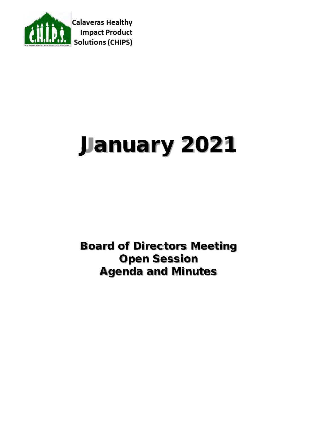

# January 2021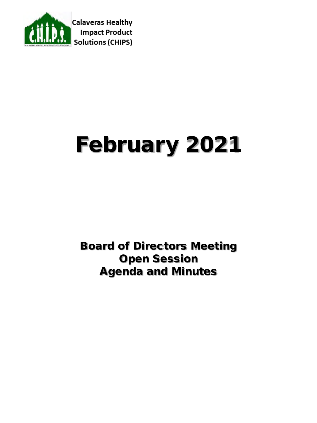

# February 2021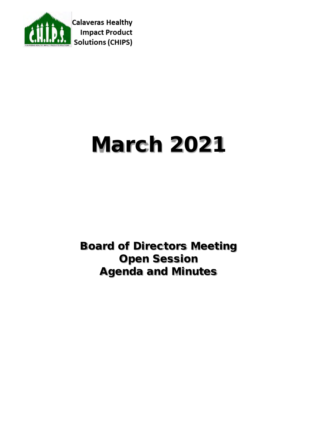

# March 2021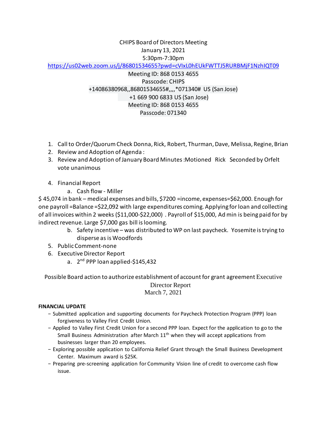### CHIPS Board of Directors Meeting January 13, 2021 5:30pm-7:30pm

<https://us02web.zoom.us/j/86801534655?pwd=cVIxL0hEUkFWTTJ5RURBMjF1NzhIQT09>

Meeting ID: 868 0153 4655 Passcode: CHIPS +14086380968,,86801534655#,,,,\*071340# US (San Jose) +1 669 900 6833 US (San Jose) Meeting ID: 868 0153 4655 Passcode: 071340

- 1. Call to Order/Quorum Check Donna, Rick, Robert, Thurman, Dave, Melissa, Regine, Brian
- 2. Review and Adoption of Agenda :
- 3. Review and Adoption of January Board Minutes:Motioned Rick Seconded by Orfelt vote unanimous
- 4. Financial Report
	- a. Cash flow Miller

\$ 45,074 in bank – medical expenses and bills, \$7200 =income, expenses=\$62,000. Enough for one payroll =Balance =\$22,092 with large expenditures coming. Applying for loan and collecting of all invoices within 2 weeks (\$11,000-\$22,000) . Payroll of \$15,000, Ad min is being paid for by indirect revenue. Large \$7,000 gas bill is looming.

- b. Safety incentive was distributed to WP on last paycheck. Yosemite istrying to disperse as is Woodfords
- 5. Public Comment-none
- 6. Executive Director Report
	- a.  $2^{nd}$  PPP loan applied-\$145,432

Possible Board action to authorize establishment of account for grant agreement Executive Director Report March 7, 2021

#### **FINANCIAL UPDATE**

- − Submitted application and supporting documents for Paycheck Protection Program (PPP) loan forgiveness to Valley First Credit Union.
- − Applied to Valley First Credit Union for a second PPP loan. Expect for the application to go to the Small Business Administration after March  $11<sup>th</sup>$  when they will accept applications from businesses larger than 20 employees.
- − Exploring possible application to California Relief Grant through the Small Business Development Center. Maximum award is \$25K.
- − Preparing pre-screening application for Community Vision line of credit to overcome cash flow issue.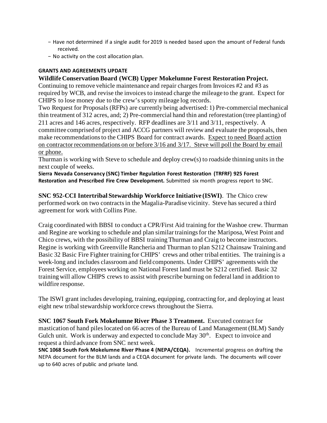- − Have not determined if a single audit for 2019 is needed based upon the amount of Federal funds received.
- − No activity on the cost allocation plan.

#### **GRANTS AND AGREEMENTS UPDATE**

**Wildlife Conservation Board (WCB) Upper Mokelumne Forest Restoration Project.**

Continuing to remove vehicle maintenance and repair charges from Invoices #2 and #3 as required by WCB, and revise the invoices to instead charge the mileage to the grant. Expect for CHIPS to lose money due to the crew's spotty mileage log records.

Two Request for Proposals (RFPs) are currently being advertised: 1) Pre-commercial mechanical thin treatment of 312 acres, and; 2) Pre-commercial hand thin and reforestation (tree planting) of 211 acres and 146 acres, respectively. RFP deadlines are 3/11 and 3/11, respectively. A committee comprised of project and ACCG partners will review and evaluate the proposals, then make recommendations to the CHIPS Board for contract awards. Expect to need Board action on contractor recommendations on or before 3/16 and 3/17. Steve will poll the Board by email or phone.

Thurman is working with Steve to schedule and deploy crew(s) to roadside thinning units in the next couple of weeks.

**Sierra Nevada Conservancy (SNC) Timber Regulation Forest Restoration (TRFRF) 925 Forest Restoration and Prescribed Fire Crew Development.** Submitted six month progress report to SNC.

**SNC 952-CCI Intertribal Stewardship Workforce Initiative (ISWI)**. The Chico crew performed work on two contracts in the Magalia-Paradise vicinity. Steve has secured a third agreement for work with Collins Pine.

Craig coordinated with BBSI to conduct a CPR/First Aid training for the Washoe crew. Thurman and Regine are working to schedule and plan similar trainings for the Mariposa, West Point and Chico crews, with the possibility of BBSI training Thurman and Craig to become instructors. Regine is working with Greenville Rancheria and Thurman to plan S212 Chainsaw Training and Basic 32 Basic Fire Fighter training for CHIPS' crews and other tribal entities. The training is a week-long and includes classroom and field components. Under CHIPS' agreements with the Forest Service, employees working on National Forest land must be S212 certified. Basic 32 training will allow CHIPS crews to assist with prescribe burning on federal land in addition to wildfire response.

The ISWI grant includes developing, training, equipping, contracting for, and deploying at least eight new tribal stewardship workforce crews throughout the Sierra.

**SNC 1067 South Fork Mokelumne River Phase 3 Treatment.** Executed contract for mastication of hand piles located on 66 acres of the Bureau of Land Management (BLM) Sandy Gulch unit. Work is underway and expected to conclude May  $30<sup>th</sup>$ . Expect to invoice and request a third advance from SNC next week.

**SNC 1068 South Fork Mokelumne River Phase 4 (NEPA/CEQA).** Incremental progress on drafting the NEPA document for the BLM lands and a CEQA document for private lands. The documents will cover up to 640 acres of public and private land.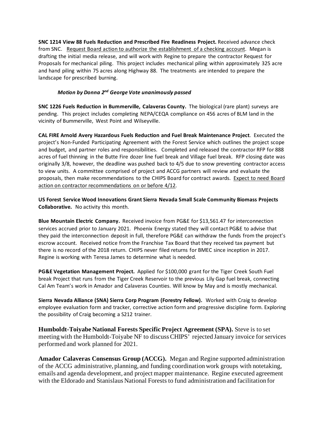**SNC 1214 View 88 Fuels Reduction and Prescribed Fire Readiness Project.** Received advance check from SNC. Request Board action to authorize the establishment of a checking account. Megan is drafting the initial media release, and will work with Regine to prepare the contractor Request for Proposals for mechanical piling. This project includes mechanical piling within approximately 325 acre and hand piling within 75 acres along Highway 88. The treatments are intended to prepare the landscape for prescribed burning.

#### *Motion by Donna 2nd George Vote unanimously passed*

**SNC 1226 Fuels Reduction in Bummerville, Calaveras County.** The biological (rare plant) surveys are pending. This project includes completing NEPA/CEQA compliance on 456 acres of BLM land in the vicinity of Bummerville, West Point and Wilseyville.

**CAL FIRE Arnold Avery Hazardous Fuels Reduction and Fuel Break Maintenance Project**. Executed the project's Non-Funded Participating Agreement with the Forest Service which outlines the project scope and budget, and partner roles and responsibilities. Completed and released the contractor RFP for 888 acres of fuel thinning in the Butte Fire dozer line fuel break and Village fuel break. RFP closing date was originally 3/8, however, the deadline was pushed back to 4/5 due to snow preventing contractor access to view units. A committee comprised of project and ACCG partners will review and evaluate the proposals, then make recommendations to the CHIPS Board for contract awards. Expect to need Board action on contractor recommendations on or before 4/12.

**US Forest Service Wood Innovations Grant Sierra Nevada Small Scale Community Biomass Projects Collaborative.** No activity this month.

**Blue Mountain Electric Company.** Received invoice from PG&E for \$13,561.47 for interconnection services accrued prior to January 2021. Phoenix Energy stated they will contact PG&E to advise that they paid the interconnection deposit in full, therefore PG&E can withdraw the funds from the project's escrow account. Received notice from the Franchise Tax Board that they received tax payment but there is no record of the 2018 return. CHIPS never filed returns for BMEC since inception in 2017. Regine is working with Teresa James to determine what is needed.

**PG&E Vegetation Management Project.** Applied for \$100,000 grant for the Tiger Creek South Fuel break Project that runs from the Tiger Creek Reservoir to the previous Lily Gap fuel break, connecting Cal Am Team's work in Amador and Calaveras Counties. Will know by May and is mostly mechanical.

**Sierra Nevada Alliance (SNA) Sierra Corp Program (Forestry Fellow).** Worked with Craig to develop employee evaluation form and tracker, corrective action form and progressive discipline form. Exploring the possibility of Craig becoming a S212 trainer.

**Humboldt-Toiyabe National Forests Specific Project Agreement (SPA).** Steve is to set meeting with the Humboldt-Toiyabe NF to discuss CHIPS' rejected January invoice for services performed and work planned for 2021.

**Amador Calaveras Consensus Group (ACCG).** Megan and Regine supported administration of the ACCG administrative, planning, and funding coordination work groups with notetaking, emails and agenda development, and project mapper maintenance. Regine executed agreement with the Eldorado and Stanislaus National Forests to fund administration and facilitation for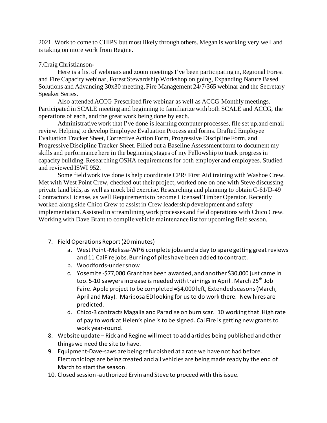2021. Work to come to CHIPS but most likely through others. Megan is working very well and is taking on more work from Regine.

#### 7.Craig Christianson-

Here is a list of webinars and zoom meetings I've been participating in, Regional Forest and Fire Capacity webinar, Forest Stewardship Workshop on going, Expanding Nature Based Solutions and Advancing 30x30 meeting, Fire Management 24/7/365 webinar and the Secretary Speaker Series.

Also attended ACCG Prescribed fire webinar as well as ACCG Monthly meetings. Participated in SCALE meeting and beginning to familiarize with both SCALE and ACCG, the operations of each, and the great work being done by each.

Administrative work that I've done is learning computer processes, file set up,and email review. Helping to develop Employee Evaluation Process and forms. Drafted Employee Evaluation Tracker Sheet, Corrective Action Form, Progressive Discipline Form, and Progressive Discipline Tracker Sheet. Filled out a Baseline Assessment form to document my skills and performance here in the beginning stages of my Fellowship to track progress in capacity building. Researching OSHA requirements for both employer and employees. Studied and reviewed ISWI 952.

 Some field work ive done is help coordinate CPR/ First Aid training with Washoe Crew. Met with West Point Crew, checked out their project, worked one on one with Steve discussing private land bids, as well as mock bid exercise. Researching and planning to obtain C-61/D-49 Contractors License, as well Requirements to become Licensed Timber Operator. Recently worked along side Chico Crew to assist in Crew leadership development and safety implementation. Assisted in streamlining work processes and field operations with Chico Crew. Working with Dave Brant to compile vehicle maintenance list for upcoming field season.

- 7. Field Operations Report (20 minutes)
	- a. West Point -Melissa-WP 6 complete jobs and a day to spare getting great reviews and 11 CalFire jobs. Burning of piles have been added to contract.
	- b. Woodfords-under snow
	- c. Yosemite -\$77,000 Grant has been awarded, and another \$30,000 just came in too. 5-10 sawyers increase is needed with trainings in April. March 25<sup>th</sup> Job Faire. Apple project to be completed =\$4,000 left, Extended seasons (March, April and May). Mariposa ED looking for us to do work there. New hires are predicted.
	- d. Chico-3 contracts Magalia and Paradise on burn scar. 10 working that. High rate of pay to work at Helen's pine is to be signed. Cal Fire is getting new grants to work year-round.
- 8. Website update Rick and Regine will meet to add articles being published and other things we need the site to have.
- 9. Equipment-Dave-saws are being refurbished at a rate we have not had before. Electronic logs are being created and all vehicles are being made ready by the end of March to start the season.
- 10. Closed session -authorized Ervin and Steve to proceed with this issue.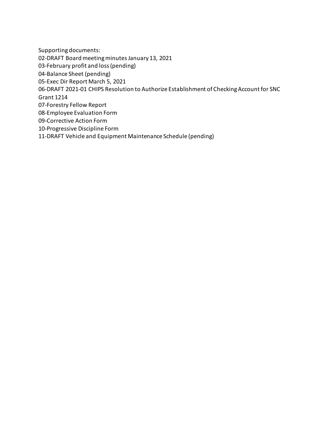Supporting documents:

02-DRAFT Board meeting minutes January 13, 2021

03-February profit and loss (pending)

04-Balance Sheet (pending)

05-Exec Dir Report March 5, 2021

06-DRAFT 2021-01 CHIPS Resolution to Authorize Establishment of Checking Account for SNC

Grant 1214

07-Forestry Fellow Report

08-Employee Evaluation Form

09-Corrective Action Form

10-Progressive Discipline Form

11-DRAFT Vehicle and Equipment Maintenance Schedule (pending)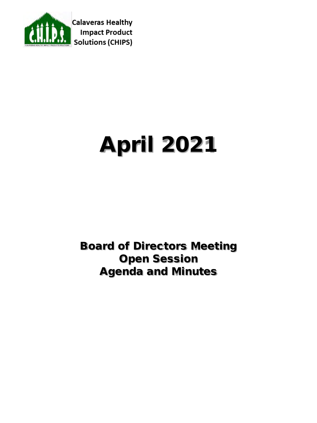

# April 2021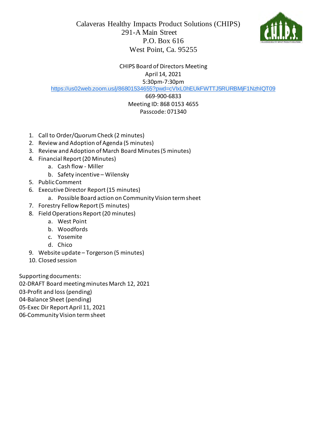



CHIPS Board of Directors Meeting April 14, 2021

5:30pm-7:30pm

[https://us02web.zoom.us/j/86801534655?pwd=cVIxL0hEUkFWTTJ5RURBMjF1NzhIQT09](https://www.google.com/url?q=https://us02web.zoom.us/j/86801534655?pwd%3DcVIxL0hEUkFWTTJ5RURBMjF1NzhIQT09&sa=D&source=calendar&usd=2&usg=AOvVaw1-FGmWYjDWCBAH6JeIyG4s)

### 669-900-6833 Meeting ID: 868 0153 4655 Passcode: 071340

- 1. Call to Order/Quorum Check (2 minutes)
- 2. Review and Adoption of Agenda (5 minutes)
- 3. Review and Adoption of March Board Minutes(5 minutes)
- 4. Financial Report (20 Minutes)
	- a. Cash flow Miller
	- b. Safety incentive Wilensky
- 5. Public Comment
- 6. Executive Director Report (15 minutes)
	- a. Possible Board action on Community Vision term sheet
- 7. Forestry Fellow Report (5 minutes)
- 8. Field Operations Report(20 minutes)
	- a. West Point
	- b. Woodfords
	- c. Yosemite
	- d. Chico
- 9. Website update Torgerson (5 minutes)
- 10. Closed session

Supporting documents:

02-DRAFT Board meeting minutes March 12, 2021

03-Profit and loss (pending)

04-Balance Sheet (pending)

05-Exec Dir Report April 11, 2021

06-Community Vision term sheet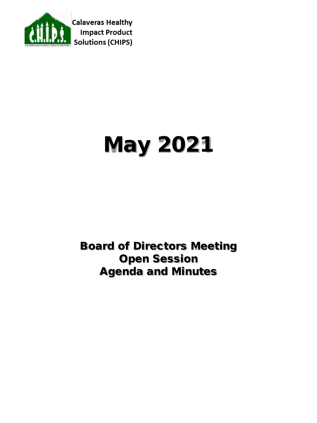

# May 2021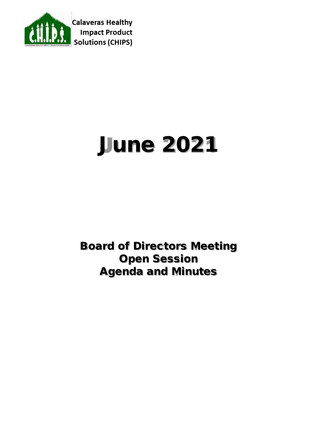

# June 2021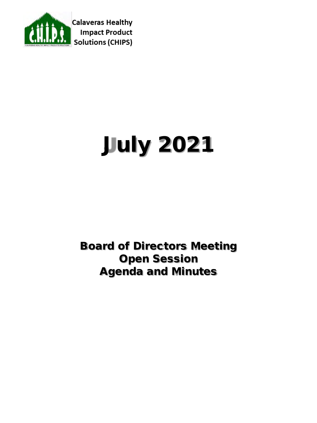

# July 2021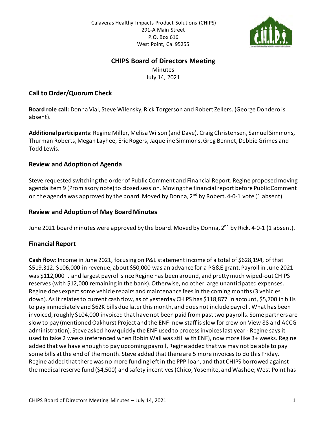

### **CHIPS Board of Directors Meeting**

**Minutes** July 14, 2021

#### **Call to Order/Quorum Check**

**Board role call:** Donna Vial, Steve Wilensky, Rick Torgerson and Robert Zellers. (George Dondero is absent).

**Additional participants**: Regine Miller, Melisa Wilson (and Dave), Craig Christensen, Samuel Simmons, Thurman Roberts, Megan Layhee, Eric Rogers, Jaqueline Simmons, Greg Bennet, Debbie Grimes and Todd Lewis.

### **Review and Adoption of Agenda**

Steve requested switching the order of Public Comment and Financial Report. Regine proposed moving agenda item 9 (Promissory note) to closed session. Moving the financial report before Public Comment on the agenda was approved by the board. Moved by Donna, 2<sup>nd</sup> by Robert. 4-0-1 vote (1 absent).

### **Review and Adoption of May BoardMinutes**

June 2021 board minutes were approved by the board. Moved by Donna, 2<sup>nd</sup> by Rick. 4-0-1 (1 absent).

### **Financial Report**

**Cash flow**: Income in June 2021, focusing on P&L statement income of a total of \$628,194, of that \$519,312. \$106,000 in revenue, about \$50,000 was an advance for a PG&E grant. Payroll in June 2021 was \$112,000+, and largest payroll since Regine has been around, and pretty much wiped-out CHIPS reserves (with \$12,000 remaining in the bank). Otherwise, no other large unanticipated expenses. Regine does expect some vehicle repairs and maintenance fees in the coming months(3 vehicles down). As it relates to current cash flow, as of yesterday CHIPS has \$118,877 in account, \$5,700 in bills to pay immediately and \$62K bills due later this month, and does not include payroll. What has been invoiced, roughly \$104,000 invoiced that have not been paid from past two payrolls. Some partners are slow to pay (mentioned Oakhurst Project and the ENF- new staff is slow for crew on View 88 and ACCG administration). Steve asked how quickly the ENF used to process invoices last year - Regine says it used to take 2 weeks (referenced when Robin Wall was still with ENF), now more like 3+ weeks. Regine added that we have enough to pay upcoming payroll, Regine added that we may not be able to pay some bills at the end of the month. Steve added that there are 5 more invoices to do this Friday. Regine added that there was no more funding left in the PPP loan, and that CHIPS borrowed against the medical reserve fund (\$4,500) and safety incentives (Chico, Yosemite, and Washoe; West Point has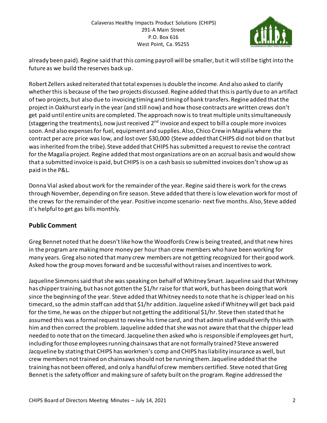

already been paid). Regine said that this coming payroll will be smaller, but it will still be tight into the future as we build the reserves back up.

Robert Zellers asked reiterated that total expenses is double the income. And also asked to clarify whether this is because of the two projects discussed. Regine added that this is partly due to an artifact of two projects, but also due to invoicing timing and timing of bank transfers. Regine added that the project in Oakhurst early in the year (and still now) and how those contracts are written crews don't get paid until entire units are completed. The approach now is to treat multiple units simultaneously (staggering the treatments), now just received 2<sup>nd</sup> invoice and expect to bill a couple more invoices soon. And also expenses for fuel, equipment and supplies. Also, Chico Crew in Magalia where the contract per acre price was low, and lost over \$30,000 (Steve added that CHIPS did not bid on that but was inherited from the tribe). Steve added that CHIPS has submitted a request to revise the contract for the Magalia project. Regine added that most organizations are on an accrual basis and would show that a submitted invoice is paid, but CHIPS is on a cash basis so submitted invoices don't show up as paid in the P&L.

Donna Vial asked about work for the remainder of the year. Regine said there is work for the crews through November, depending on fire season. Steve added that there is low elevation work for most of the crews for the remainder of the year. Positive income scenario- next five months. Also, Steve added it's helpful to get gas bills monthly.

### **Public Comment**

Greg Bennet noted that he doesn't like how the Woodfords Crew is being treated, and that new hires in the program are making more money per hour than crew members who have been working for many years. Greg also noted that many crew members are not getting recognized for their good work. Asked how the group moves forward and be successful without raises and incentives to work.

Jaqueline Simmons said that she was speaking on behalf of Whitney Smart. Jaqueline said that Whitney has chipper training, but has not gotten the \$1/hr raise for that work, but has been doing that work since the beginning of the year. Steve added that Whitney needs to note that he is chipper lead on his timecard, so the admin staff can add that \$1/hr addition. Jaqueline asked if Whitney will get back paid for the time, he was on the chipper but not getting the additional \$1/hr. Steve then stated that he assumed this was a formal request to review his time card, and that admin staff would verify this with him and then correct the problem. Jaqueline added that she was not aware that that the chipper lead needed to note that on the timecard.Jacqueline then asked who is responsible if employees get hurt, including for those employees running chainsaws that are not formally trained? Steve answered Jacqueline by stating that CHIPS has workmen's comp and CHIPS has liability insurance as well, but crew members not trained on chainsaws should not be running them. Jaqueline added that the training has not been offered, and only a handful of crew members certified. Steve noted that Greg Bennet is the safety officer and making sure of safety built on the program. Regine addressed the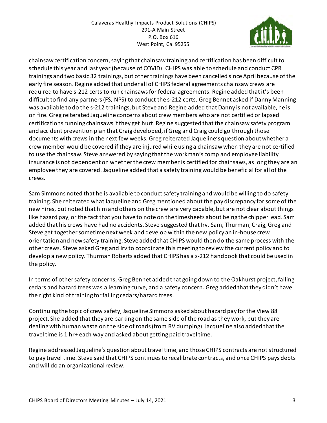

chainsaw certification concern, saying that chainsaw training and certification has been difficult to schedule this year and last year (because of COVID). CHIPS was able to schedule and conduct CPR trainings and two basic 32 trainings, but other trainings have been cancelled since April because of the early fire season. Regine added that under all of CHIPS federal agreements chainsaw crews are required to have s-212 certs to run chainsaws for federal agreements. Regine added that it's been difficult to find any partners (FS, NPS) to conduct the s-212 certs. Greg Bennet asked if Danny Manning was available to do the s-212 trainings, but Steve and Regine added that Danny is not available, he is on fire. Greg reiterated Jaqueline concerns about crew members who are not certified or lapsed certifications running chainsaws if they get hurt. Regine suggested that the chainsaw safety program and accident prevention plan that Craig developed, if Greg and Craig could go through those documents with crews in the next few weeks. Greg reiterated Jaqueline's question about whether a crew member would be covered if they are injured while using a chainsaw when they are not certified to use the chainsaw. Steve answered by saying that the workman's comp and employee liability insurance is not dependent on whether the crew member is certified for chainsaws, as long they are an employee they are covered. Jaqueline added that a safety training would be beneficial for all of the crews.

Sam Simmons noted that he is available to conduct safety training and would be willing to do safety training. She reiterated what Jaqueline and Greg mentioned about the pay discrepancy for some of the new hires, but noted that him and others on the crew are very capable, but are not clear about things like hazard pay, or the fact that you have to note on the timesheets about being the chipper lead. Sam added that his crews have had no accidents. Steve suggested that Irv, Sam, Thurman, Craig, Greg and Steve get together sometime next week and develop within the new policy an in-house crew orientation and new safety training. Steve added that CHIPS would then do the same process with the other crews. Steve asked Greg and Irv to coordinate this meeting to review the current policy and to develop a new policy. Thurman Roberts added that CHIPS has a s-212 handbook that could be used in the policy.

In terms of other safety concerns, Greg Bennet added that going down to the Oakhurst project, falling cedars and hazard trees was a learning curve, and a safety concern. Greg added that they didn't have the right kind of training for falling cedars/hazard trees.

Continuing the topic of crew safety, Jaqueline Simmons asked about hazard pay for the View 88 project. She added that they are parking on the same side of the road as they work, but they are dealing with human waste on the side of roads (from RV dumping). Jacqueline also added that the travel time is 1 hr+ each way and asked about getting paid travel time.

Regine addressed Jaqueline's question about travel time, and those CHIPS contracts are not structured to pay travel time. Steve said that CHIPS continues to recalibrate contracts, and once CHIPS pays debts and will do an organizational review.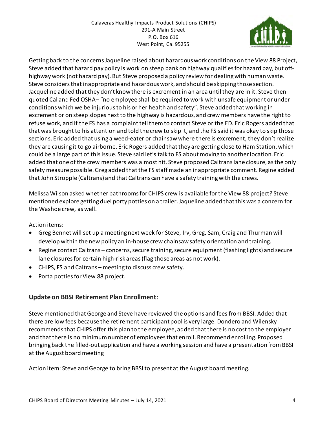

Getting back to the concerns Jaqueline raised about hazardous work conditions on the View 88 Project, Steve added that hazard pay policy is work on steep bank on highway qualifies for hazard pay, but offhighway work (not hazard pay). But Steve proposed a policy review for dealing with human waste. Steve considers that inappropriate and hazardous work, and should be skipping those section. Jacqueline added that they don't know there is excrement in an area until they are in it. Steve then quoted Cal and Fed OSHA– "no employee shall be required to work with unsafe equipment or under conditions which we be injurious to his or her health and safety". Steve added that working in excrement or on steep slopes next to the highway is hazardous, and crew members have the right to refuse work, and if the FS has a complaint tell them to contact Steve or the ED. Eric Rogers added that that was brought to his attention and told the crew to skip it, and the FS said it was okay to skip those sections. Eric added that using a weed-eater or chainsaw where there is excrement, they don't realize they are causing it to go airborne. Eric Rogers added that they are getting close to Ham Station, which could be a large part of this issue. Steve said let's talk to FS about moving to another location. Eric added that one of the crew members was almost hit. Steve proposed Caltrans lane closure, as the only safety measure possible. Greg added that the FS staff made an inappropriate comment. Regine added that John Stropple (Caltrans) and that Caltrans can have a safety training with the crews.

Melissa Wilson asked whether bathrooms for CHIPS crew is available for the View 88 project? Steve mentioned explore getting duel porty potties on a trailer. Jaqueline added that this was a concern for the Washoe crew, as well.

Action items:

- Greg Bennet will set up a meeting next week for Steve, Irv, Greg, Sam, Craig and Thurman will develop within the new policy an in-house crew chainsaw safety orientation and training.
- Regine contact Caltrans concerns, secure training, secure equipment (flashing lights) and secure lane closures for certain high-risk areas (flag those areas as not work).
- CHIPS, FS and Caltrans meeting to discuss crew safety.
- Porta potties for View 88 project.

### **Update on BBSI Retirement Plan Enrollment**:

Steve mentioned that George and Steve have reviewed the options and fees from BBSI. Added that there are low fees because the retirement participant pool is very large. Dondero and Wilensky recommends that CHIPS offer this plan to the employee, added that there is no cost to the employer and that there is no minimum number of employees that enroll. Recommend enrolling. Proposed bringing back the filled-out application and have a working session and have a presentation from BBSI at the August board meeting

Action item: Steve and George to bring BBSI to present at the August board meeting.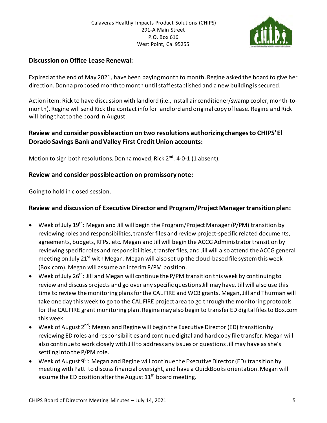

#### **Discussion on Office Lease Renewal:**

Expired at the end of May 2021, have been paying month to month. Regine asked the board to give her direction. Donna proposed month to month until staff established and a new building is secured.

Action item: Rick to have discussion with landlord (i.e., install air conditioner/swamp cooler, month-tomonth). Regine will send Rick the contact info for landlord and original copy of lease. Regine and Rick will bring that to the board in August.

### **Review and consider possible action on two resolutions authorizing changes to CHIPS' El Dorado Savings Bank and Valley First Credit Union accounts:**

Motion to sign both resolutions. Donna moved, Rick  $2^{nd}$ . 4-0-1 (1 absent).

#### **Review and consider possible action on promissory note:**

Going to hold in closed session.

#### **Review and discussion of Executive Director and Program/Project Manager transition plan:**

- Week of July 19<sup>th</sup>: Megan and Jill will begin the Program/Project Manager (P/PM) transition by reviewing roles and responsibilities, transfer files and review project-specific related documents, agreements, budgets, RFPs, etc. Megan and Jill will begin the ACCG Administrator transition by reviewing specific roles and responsibilities, transfer files, and Jill will also attend the ACCG general meeting on July 21<sup>st</sup> with Megan. Megan will also set up the cloud-based file system this week (Box.com). Megan will assume an interim P/PM position.
- Week of July 26<sup>th</sup>: Jill and Megan will continue the P/PM transition this week by continuing to review and discuss projects and go over any specific questions Jill may have. Jill will also use this time to review the monitoring plans for the CAL FIRE and WCB grants. Megan, Jill and Thurman will take one day this week to go to the CAL FIRE project area to go through the monitoring protocols for the CAL FIRE grant monitoring plan. Regine may also begin to transfer ED digital files to Box.com this week.
- Week of August  $2^{nd}$ : Megan and Regine will begin the Executive Director (ED) transition by reviewing ED roles and responsibilities and continue digital and hard copy file transfer. Megan will also continue to work closely with Jill to address any issues or questions Jill may have as she's settling into the P/PM role.
- Week of August 9<sup>th</sup>: Megan and Regine will continue the Executive Director (ED) transition by meeting with Patti to discuss financial oversight, and have a QuickBooks orientation. Megan will assume the ED position after the August  $11<sup>th</sup>$  board meeting.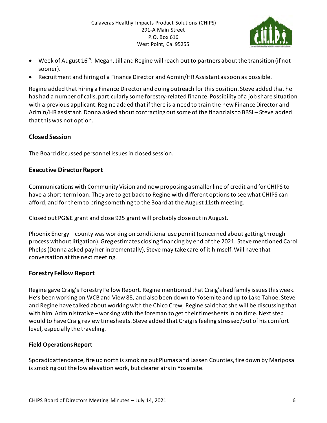

- Week of August 16<sup>th</sup>: Megan, Jill and Regine will reach out to partners about the transition (if not sooner).
- Recruitment and hiring of a Finance Director and Admin/HR Assistant as soon as possible.

Regine added that hiring a Finance Director and doing outreach for this position. Steve added that he has had a number of calls, particularly some forestry-related finance. Possibility of a job share situation with a previous applicant. Regine added that if there is a need to train the new Finance Director and Admin/HR assistant. Donna asked about contracting out some of the financials to BBSI – Steve added that this was not option.

### **Closed Session**

The Board discussed personnel issues in closed session.

### **Executive Director Report**

Communications with Community Vision and now proposing a smaller line of credit and for CHIPS to have a short-term loan. They are to get back to Regine with different options to see what CHIPS can afford, and for them to bring something to the Board at the August 11sth meeting.

Closed out PG&E grant and close 925 grant will probably close out in August.

Phoenix Energy – county was working on conditional use permit (concerned about getting through process without litigation). Greg estimates closing financing by end of the 2021. Steve mentioned Carol Phelps (Donna asked pay her incrementally), Steve may take care of it himself.Will have that conversation at the next meeting.

### **Forestry Fellow Report**

Regine gave Craig's Forestry Fellow Report. Regine mentioned that Craig's had family issues this week. He's been working on WCB and View 88, and also been down to Yosemite and up to Lake Tahoe. Steve and Regine have talked about working with the Chico Crew, Regine said that she will be discussing that with him. Administrative – working with the foreman to get their timesheets in on time. Next step would to have Craig review timesheets. Steve added that Craig is feeling stressed/out of his comfort level, especially the traveling.

### **Field Operations Report**

Sporadic attendance, fire up north is smoking out Plumas and Lassen Counties, fire down by Mariposa is smoking out the low elevation work, but clearer airs in Yosemite.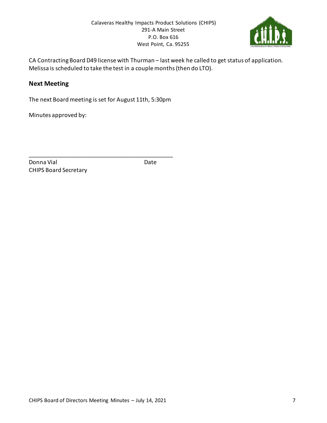

CA Contracting Board D49 license with Thurman – last week he called to get status of application. Melissa is scheduled to take the test in a couple months (then do LTO).

#### **Next Meeting**

The next Board meeting is set for August 11th, 5:30pm

\_\_\_\_\_\_\_\_\_\_\_\_\_\_\_\_\_\_\_\_\_\_\_\_\_\_\_\_\_\_\_\_\_\_\_\_\_\_\_\_\_\_\_\_\_

Minutes approved by:

Donna Vial **Date** CHIPS Board Secretary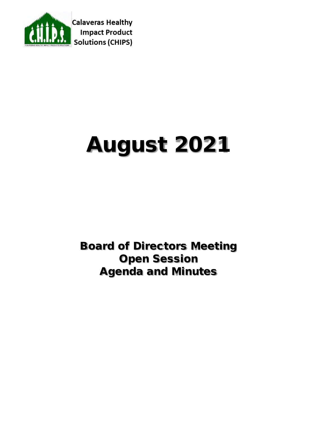

# August 2021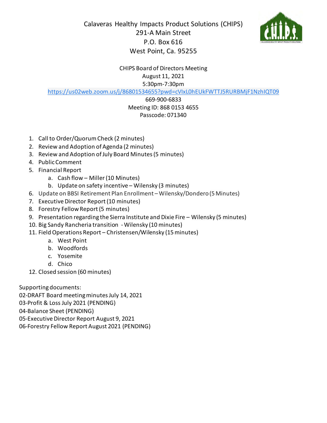

CHIPS Board of Directors Meeting August 11, 2021 5:30pm-7:30pm

[https://us02web.zoom.us/j/86801534655?pwd=cVIxL0hEUkFWTTJ5RURBMjF1NzhIQT09](https://www.google.com/url?q=https://us02web.zoom.us/j/86801534655?pwd%3DcVIxL0hEUkFWTTJ5RURBMjF1NzhIQT09&sa=D&source=calendar&usd=2&usg=AOvVaw1-FGmWYjDWCBAH6JeIyG4s)

## 669-900-6833

#### Meeting ID: 868 0153 4655 Passcode: 071340

- 1. Call to Order/Quorum Check (2 minutes)
- 2. Review and Adoption of Agenda (2 minutes)
- 3. Review and Adoption of July Board Minutes(5 minutes)
- 4. Public Comment
- 5. Financial Report
	- a. Cash flow Miller(10 Minutes)
	- b. Update on safety incentive Wilensky (3 minutes)
- 6. Update on BBSI Retirement Plan Enrollment Wilensky/Dondero (5 Minutes)
- 7. Executive Director Report (10 minutes)
- 8. Forestry Fellow Report (5 minutes)
- 9. Presentation regarding the Sierra Institute and Dixie Fire Wilensky (5 minutes)
- 10. Big Sandy Rancheria transition Wilensky (10 minutes)
- 11. Field Operations Report Christensen/Wilensky (15minutes)
	- a. West Point
	- b. Woodfords
	- c. Yosemite
	- d. Chico
- 12. Closed session (60 minutes)

Supporting documents:

02-DRAFT Board meeting minutes July 14, 2021

03-Profit & Loss July 2021 (PENDING)

04-Balance Sheet (PENDING)

05-Executive Director Report August 9, 2021

06-Forestry Fellow Report August 2021 (PENDING)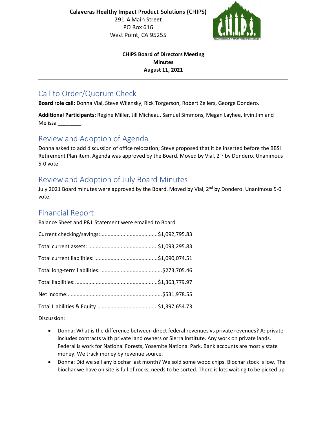

#### **CHIPS Board of Directors Meeting Minutes August 11, 2021**

# Call to Order/Quorum Check

**Board role call:** Donna Vial, Steve Wilensky, Rick Torgerson, Robert Zellers, George Dondero.

**Additional Participants:** Regine Miller, Jill Micheau, Samuel Simmons, Megan Layhee, Irvin Jim and Melissa \_\_\_\_\_\_\_\_.

# Review and Adoption of Agenda

Donna asked to add discussion of office relocation; Steve proposed that it be inserted before the BBSI Retirement Plan item. Agenda was approved by the Board. Moved by Vial, 2<sup>nd</sup> by Dondero. Unanimous 5-0 vote.

# Review and Adoption of July Board Minutes

July 2021 Board minutes were approved by the Board. Moved by Vial, 2<sup>nd</sup> by Dondero. Unanimous 5-0 vote.

# Financial Report

Balance Sheet and P&L Statement were emailed to Board.

Discussion:

- Donna: What is the difference between direct federal revenues vs private revenues? A: private includes contracts with private land owners or Sierra Institute. Any work on private lands. Federal is work for National Forests, Yosemite National Park. Bank accounts are mostly state money. We track money by revenue source.
- Donna: Did we sell any biochar last month? We sold some wood chips. Biochar stock is low. The biochar we have on site is full of rocks, needs to be sorted. There is lots waiting to be picked up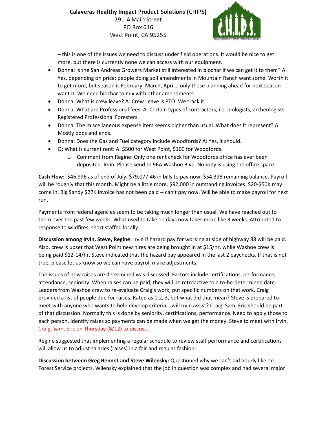

– this is one of the issues we need to discuss under field operations. It would be nice to get more, but there is currently none we can access with our equipment.

- Donna: Is the San Andreas Growers Market still interested in biochar if we can get it to them? A: Yes, depending on price; people doing soil amendments in Mountain Ranch want some. Worth it to get more, but season is February, March, April… only those planning ahead for next season want it. We need biochar to mix with other amendments.
- Donna: What is crew leave? A: Crew Leave is PTO. We track it.
- Donna: What are Professional fees: A: Certain types of contractors, i.e. biologists, archeologists, Registered Professional Foresters.
- Donna: The miscellaneous expense item seems higher than usual. What does it represent? A: Mostly odds and ends.
- Donna: Does the Gas and Fuel category include Woodfords? A: Yes, it should.
- Q: What is current rent: A: \$500 for West Point, \$100 for Woodfords.
	- o Comment from Regine: Only one rent check for Woodfords office has ever been deposited. Irvin: Please send to 96A Washoe Blvd. Nobody is using the office space.

**Cash Flow:** \$46,996 as of end of July. \$79,077.46 in bills to pay now; \$54,398 remaining balance. Payroll will be roughly that this month. Might be a little more. \$92,000 in outstanding invoices. \$20-\$50K may come in. Big Sandy \$27K invoice has not been paid -- can't pay now. Will be able to make payroll for next run.

Payments from federal agencies seem to be taking much longer than usual. We have reached out to them over the past few weeks. What used to take 10 days now takes more like 3 weeks. Attributed to response to wildfires, short staffed locally.

**Discussion among Irvin, Steve, Regine:** Irvin if hazard pay for working at side of highway 88 will be paid. Also, crew is upset that West Point new hires are being brought in at \$15/hr, while Washoe crew is being paid \$12-14/hr. Steve indicated that the hazard pay appeared in the last 2 paychecks. If that is not true, please let us know so we can have payroll make adjustments.

The issues of how raises are determined was discussed. Factors include certifications, performance, attendance, seniority. When raises can be paid, they will be retroactive to a to-be-determined date. Leaders from Washoe crew to re-evaluate Craig's work, put specific numbers on that work. Craig provided a list of people due for raises. Rated as 1,2, 3, but what did that mean? Steve is prepared to meet with anyone who wants to help develop criteria… will Irvin assist? Craig, Sam, Eric should be part of that discussion. Normally this is done by seniority, certifications, performance. Need to apply those to each person. Identify raises so payments can be made when we get the money. Steve to meet with Irvin, Craig, Sam, Eric on Thursday (8/12) to discuss.

Regine suggested that implementing a regular schedule to review staff performance and certifications will allow us to adjust salaries (raises) in a fair and regular fashion.

**Discussion between Greg Bennet and Steve Wilensky:** Questioned why we can't bid hourly like on Forest Service projects. Wilensky explained that the job in question was complex and had several major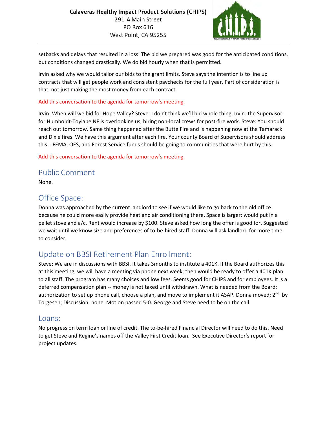

setbacks and delays that resulted in a loss. The bid we prepared was good for the anticipated conditions, but conditions changed drastically. We do bid hourly when that is permitted.

Irvin asked why we would tailor our bids to the grant limits. Steve says the intention is to line up contracts that will get people work and consistent paychecks for the full year. Part of consideration is that, not just making the most money from each contract.

#### Add this conversation to the agenda for tomorrow's meeting.

Irvin: When will we bid for Hope Valley? Steve: I don't think we'll bid whole thing. Irvin: the Supervisor for Humboldt-Toyiabe NF is overlooking us, hiring non-local crews for post-fire work. Steve: You should reach out tomorrow. Same thing happened after the Butte Fire and is happening now at the Tamarack and Dixie fires. We have this argument after each fire. Your county Board of Supervisors should address this… FEMA, OES, and Forest Service funds should be going to communities that were hurt by this.

#### Add this conversation to the agenda for tomorrow's meeting.

## Public Comment

None.

## Office Space:

Donna was approached by the current landlord to see if we would like to go back to the old office because he could more easily provide heat and air conditioning there. Space is larger; would put in a pellet stove and a/c. Rent would increase by \$100. Steve asked how long the offer is good for. Suggested we wait until we know size and preferences of to-be-hired staff. Donna will ask landlord for more time to consider.

## Update on BBSI Retirement Plan Enrollment:

Steve: We are in discussions with BBSI. It takes 3months to institute a 401K. If the Board authorizes this at this meeting, we will have a meeting via phone next week; then would be ready to offer a 401K plan to all staff. The program has many choices and low fees. Seems good for CHIPS and for employees. It is a deferred compensation plan -- money is not taxed until withdrawn. What is needed from the Board: authorization to set up phone call, choose a plan, and move to implement it ASAP. Donna moved;  $2^{nd}$  by Torgesen; Discussion: none. Motion passed 5-0. George and Steve need to be on the call.

### Loans:

No progress on term loan or line of credit. The to-be-hired Financial Director will need to do this. Need to get Steve and Regine's names off the Valley First Credit loan. See Executive Director's report for project updates.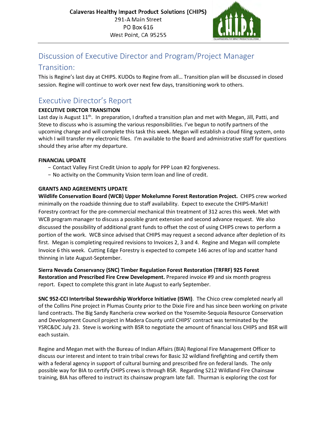

# Discussion of Executive Director and Program/Project Manager

## Transition:

This is Regine's last day at CHIPS. KUDOs to Regine from all… Transition plan will be discussed in closed session. Regine will continue to work over next few days, transitioning work to others.

# Executive Director's Report

#### **EXECUTIVE DIRCTOR TRANSITION**

Last day is August 11<sup>th</sup>. In preparation, I drafted a transition plan and met with Megan, Jill, Patti, and Steve to discuss who is assuming the various responsibilities. I've begun to notify partners of the upcoming change and will complete this task this week. Megan will establish a cloud filing system, onto which I will transfer my electronic files. I'm available to the Board and administrative staff for questions should they arise after my departure.

#### **FINANCIAL UPDATE**

- − Contact Valley First Credit Union to apply for PPP Loan #2 forgiveness.
- − No activity on the Community Vision term loan and line of credit.

#### **GRANTS AND AGREEMENTS UPDATE**

**Wildlife Conservation Board (WCB) Upper Mokelumne Forest Restoration Project.** CHIPS crew worked minimally on the roadside thinning due to staff availability. Expect to execute the CHIPS-Markit! Forestry contract for the pre-commercial mechanical thin treatment of 312 acres this week. Met with WCB program manager to discuss a possible grant extension and second advance request. We also discussed the possibility of additional grant funds to offset the cost of using CHIPS crews to perform a portion of the work. WCB since advised that CHIPS may request a second advance after depletion of its first. Megan is completing required revisions to Invoices 2, 3 and 4. Regine and Megan will complete Invoice 6 this week. Cutting Edge Forestry is expected to compete 146 acres of lop and scatter hand thinning in late August-September.

**Sierra Nevada Conservancy (SNC) Timber Regulation Forest Restoration (TRFRF) 925 Forest Restoration and Prescribed Fire Crew Development.** Prepared invoice #9 and six month progress report. Expect to complete this grant in late August to early September.

**SNC 952-CCI Intertribal Stewardship Workforce Initiative (ISWI)**. The Chico crew completed nearly all of the Collins Pine project in Plumas County prior to the Dixie Fire and has since been working on private land contracts. The Big Sandy Rancheria crew worked on the Yosemite-Sequoia Resource Conservation and Development Council project in Madera County until CHIPS' contract was terminated by the YSRC&DC July 23. Steve is working with BSR to negotiate the amount of financial loss CHIPS and BSR will each sustain.

Regine and Megan met with the Bureau of Indian Affairs (BIA) Regional Fire Management Officer to discuss our interest and intent to train tribal crews for Basic 32 wildland firefighting and certify them with a federal agency in support of cultural burning and prescribed fire on federal lands. The only possible way for BIA to certify CHIPS crews is through BSR. Regarding S212 Wildland Fire Chainsaw training, BIA has offered to instruct its chainsaw program late fall. Thurman is exploring the cost for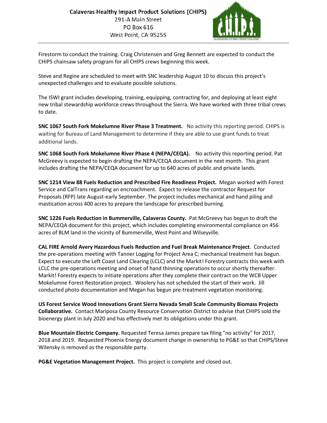

Firestorm to conduct the training. Craig Christensen and Greg Bennett are expected to conduct the CHIPS chainsaw safety program for all CHIPS crews beginning this week.

Steve and Regine are scheduled to meet with SNC leadership August 10 to discuss this project's unexpected challenges and to evaluate possible solutions.

The ISWI grant includes developing, training, equipping, contracting for, and deploying at least eight new tribal stewardship workforce crews throughout the Sierra. We have worked with three tribal crews to date.

**SNC 1067 South Fork Mokelumne River Phase 3 Treatment.** No activity this reporting period. CHIPS is waiting for Bureau of Land Management to determine if they are able to use grant funds to treat additional lands.

**SNC 1068 South Fork Mokelumne River Phase 4 (NEPA/CEQA).** No activity this reporting period. Pat McGreevy is expected to begin drafting the NEPA/CEQA document in the next month. This grant includes drafting the NEPA/CEQA document for up to 640 acres of public and private lands.

**SNC 1214 View 88 Fuels Reduction and Prescribed Fire Readiness Project.** Megan worked with Forest Service and CalTrans regarding an encroachment. Expect to release the contractor Request for Proposals (RFP) late August-early September. The project includes mechanical and hand piling and mastication across 400 acres to prepare the landscape for prescribed burning.

**SNC 1226 Fuels Reduction in Bummerville, Calaveras County.** Pat McGreevy has begun to draft the NEPA/CEQA document for this project, which includes completing environmental compliance on 456 acres of BLM land in the vicinity of Bummerville, West Point and Wilseyville.

**CAL FIRE Arnold Avery Hazardous Fuels Reduction and Fuel Break Maintenance Project**. Conducted the pre-operations meeting with Tanner Logging for Project Area C; mechanical treatment has begun. Expect to execute the Left Coast Land Clearing (LCLC) and the Markit! Forestry contracts this week with LCLC the pre-operations meeting and onset of hand thinning operations to occur shortly thereafter. Markit! Forestry expects to initiate operations after they complete their contract on the WCB Upper Mokelumne Forest Restoration project. Woolery has not scheduled the start of their work. Jill conducted photo documentation and Megan has begun pre-treatment vegetation monitoring.

**US Forest Service Wood Innovations Grant Sierra Nevada Small Scale Community Biomass Projects Collaborative.** Contact Mariposa County Resource Conservation District to advise that CHIPS sold the bioenergy plant in July 2020 and has effectively met its obligations under this grant.

**Blue Mountain Electric Company.** Requested Teresa James prepare tax filing "no activity" for 2017, 2018 and 2019. Requested Phoenix Energy document change in ownership to PG&E so that CHIPS/Steve Wilensky is removed as the responsible party.

**PG&E Vegetation Management Project.** This project is complete and closed out.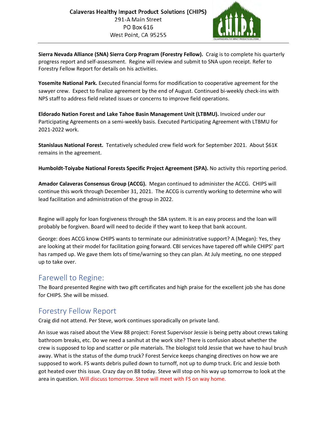

**Sierra Nevada Alliance (SNA) Sierra Corp Program (Forestry Fellow).** Craig is to complete his quarterly progress report and self-assessment. Regine will review and submit to SNA upon receipt. Refer to Forestry Fellow Report for details on his activities.

**Yosemite National Park.** Executed financial forms for modification to cooperative agreement for the sawyer crew. Expect to finalize agreement by the end of August. Continued bi-weekly check-ins with NPS staff to address field related issues or concerns to improve field operations.

**Eldorado Nation Forest and Lake Tahoe Basin Management Unit (LTBMU).** Invoiced under our Participating Agreements on a semi-weekly basis. Executed Participating Agreement with LTBMU for 2021-2022 work.

**Stanislaus National Forest.** Tentatively scheduled crew field work for September 2021. About \$61K remains in the agreement.

**Humboldt-Toiyabe National Forests Specific Project Agreement (SPA).** No activity this reporting period.

**Amador Calaveras Consensus Group (ACCG).** Megan continued to administer the ACCG. CHIPS will continue this work through December 31, 2021. The ACCG is currently working to determine who will lead facilitation and administration of the group in 2022.

Regine will apply for loan forgiveness through the SBA system. It is an easy process and the loan will probably be forgiven. Board will need to decide if they want to keep that bank account.

George: does ACCG know CHIPS wants to terminate our administrative support? A (Megan): Yes, they are looking at their model for facilitation going forward. CBI services have tapered off while CHIPS' part has ramped up. We gave them lots of time/warning so they can plan. At July meeting, no one stepped up to take over.

## Farewell to Regine:

The Board presented Regine with two gift certificates and high praise for the excellent job she has done for CHIPS. She will be missed.

# Forestry Fellow Report

Craig did not attend. Per Steve, work continues sporadically on private land.

An issue was raised about the View 88 project: Forest Supervisor Jessie is being petty about crews taking bathroom breaks, etc. Do we need a sanihut at the work site? There is confusion about whether the crew is supposed to lop and scatter or pile materials. The biologist told Jessie that we have to haul brush away. What is the status of the dump truck? Forest Service keeps changing directives on how we are supposed to work. FS wants debris pulled down to turnoff, not up to dump truck. Eric and Jessie both got heated over this issue. Crazy day on 88 today. Steve will stop on his way up tomorrow to look at the area in question. Will discuss tomorrow. Steve will meet with FS on way home.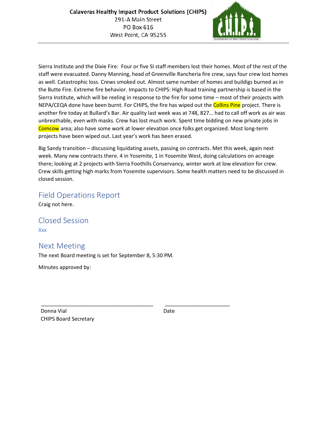

Sierra Institute and the Dixie Fire: Four or five SI staff members lost their homes. Most of the rest of the staff were evacuated. Danny Manning, head of Greenville Rancheria fire crew, says four crew lost homes as well. Catastrophic loss. Crews smoked out. Almost same number of homes and buildigs burned as in the Butte Fire. Extreme fire behavior. Impacts to CHIPS: High Road training partnership is based in the Sierra Institute, which will be reeling in response to the fire for some time – most of their projects with NEPA/CEQA done have been burnt. For CHIPS, the fire has wiped out the Collins Pine project. There is another fire today at Bullard's Bar. Air quality last week was at 748, 827… had to call off work as air was unbreathable, even with masks. Crew has lost much work. Spent time bidding on new private jobs in Comcow area; also have some work at lower elevation once folks get organized. Most long-term projects have been wiped out. Last year's work has been erased.

Big Sandy transition – discussing liquidating assets, passing on contracts. Met this week, again next week. Many new contracts there. 4 in Yosemite, 1 in Yosemite West, doing calculations on acreage there; looking at 2 projects with Sierra Foothills Conservancy, winter work at low elevation for crew. Crew skills getting high marks from Yosemite supervisors. Some health matters need to be discussed in closed session.

## Field Operations Report

Craig not here.

Closed Session Xxx

## Next Meeting

The next Board meeting is set for September 8, 5:30 PM.

Minutes approved by:

Donna Vial **Date** CHIPS Board Secretary

\_\_\_\_\_\_\_\_\_\_\_\_\_\_\_\_\_\_\_\_\_\_\_\_\_\_\_\_\_\_\_\_\_\_\_\_\_\_ \_\_\_\_\_\_\_\_\_\_\_\_\_\_\_\_\_\_\_\_\_\_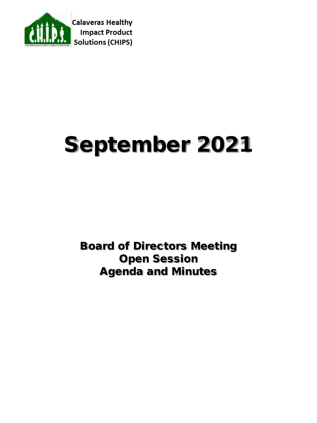

# September 2021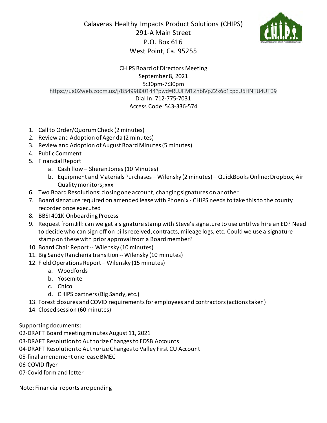Calaveras Healthy Impacts Product Solutions (CHIPS) 291-A Main Street P.O. Box 616 West Point, Ca. 95255



#### CHIPS Board of Directors Meeting September 8, 2021 5:30pm-7:30pm https://us02web.zoom.us/j/85499800144?pwd=RUJFM1ZnblVpZ2x6c1ppcU5HNTU4UT09 Dial In: 712-775-7031 Access Code: 543-336-574

- 1. Call to Order/Quorum Check (2 minutes)
- 2. Review and Adoption of Agenda (2 minutes)
- 3. Review and Adoption of August Board Minutes(5 minutes)
- 4. Public Comment
- 5. Financial Report
	- a. Cash flow Sheran Jones (10 Minutes)
	- b. Equipment and Materials Purchases Wilensky (2 minutes) QuickBooks Online; Dropbox; Air Quality monitors; xxx
- 6. Two Board Resolutions: closing one account, changing signatures on another
- 7. Board signature required on amended lease with Phoenix CHIPS needs to take this to the county recorder once executed
- 8. BBSI 401K Onboarding Process
- 9. Requestfrom Jill: can we get a signature stamp with Steve's signature to use until we hire an ED? Need to decide who can sign off on bills received, contracts, mileage logs, etc. Could we use a signature stamp on these with prior approval from a Board member?
- 10. Board Chair Report-- Wilensky (10 minutes)
- 11. Big Sandy Rancheria transition -- Wilensky (10 minutes)
- 12. Field Operations Report Wilensky (15 minutes)
	- a. Woodfords
	- b. Yosemite
	- c. Chico
	- d. CHIPS partners (Big Sandy, etc.)
- 13. Forest closures and COVID requirements for employees and contractors (actionstaken)
- 14. Closed session (60 minutes)

Supporting documents:

02-DRAFT Board meeting minutes August 11, 2021

03-DRAFT Resolution to Authorize Changes to EDSB Accounts

04-DRAFT Resolution to Authorize Changes to Valley First CU Account

05-final amendment one lease BMEC

06-COVID flyer

07-Covid form and letter

Note: Financial reports are pending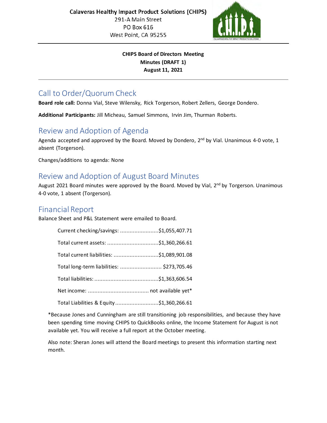

#### **CHIPS Board of Directors Meeting Minutes (DRAFT 1) August 11, 2021**

# Call to Order/Quorum Check

**Board role call:** Donna Vial, Steve Wilensky, Rick Torgerson, Robert Zellers, George Dondero.

**Additional Participants:** Jill Micheau, Samuel Simmons, Irvin Jim, Thurman Roberts.

# Review and Adoption of Agenda

Agenda accepted and approved by the Board. Moved by Dondero, 2<sup>nd</sup> by Vial. Unanimous 4-0 vote, 1 absent (Torgerson).

Changes/additions to agenda: None

## Review and Adoption of August Board Minutes

August 2021 Board minutes were approved by the Board. Moved by Vial, 2<sup>nd</sup> by Torgerson. Unanimous 4-0 vote, 1 absent (Torgerson).

## Financial Report

Balance Sheet and P&L Statement were emailed to Board.

| Current checking/savings: \$1,055,407.71   |  |
|--------------------------------------------|--|
| Total current assets: \$1,360,266.61       |  |
| Total current liabilities: \$1,089,901.08  |  |
| Total long-term liabilities:  \$273,705.46 |  |
|                                            |  |
|                                            |  |
| Total Liabilities & Equity\$1,360,266.61   |  |

\*Because Jones and Cunningham are still transitioning job responsibilities, and because they have been spending time moving CHIPS to QuickBooks online, the Income Statement for August is not available yet. You will receive a full report at the October meeting.

Also note: Sheran Jones will attend the Board meetings to present this information starting next month.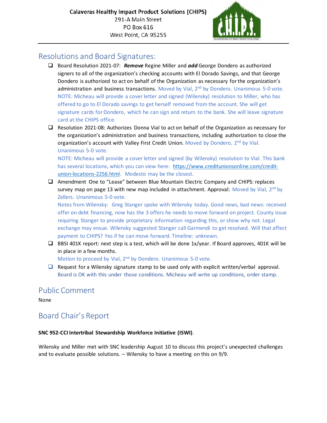

## Resolutions and Board Signatures:

- Board Resolution 2021-07: *Remove* Regine Miller and *add* George Dondero as authorized signers to all of the organization's checking accounts with El Dorado Savings, and that George Dondero is authorized to act on behalf of the Organization as necessary for the organization's administration and business transactions. Moved by Vial,  $2<sup>nd</sup>$  by Dondero. Unanimous 5-0 vote. NOTE: Micheau will provide a cover letter and signed (Wilensky) resolution to Miller, who has offered to go to El Dorado savings to get herself removed from the account. She will get signature cards for Dondero, which he can sign and return to the bank. She will leave signature card at the CHIPS office.
- $\Box$  Resolution 2021-08: Authorizes Donna Vial to act on behalf of the Organization as necessary for the organization's administration and business transactions, including authorization to close the organization's account with Valley First Credit Union. Moved by Dondero,  $2<sup>nd</sup>$  by Vial. Unanimous 5-0 vote.

NOTE: Micheau will provide a cover letter and signed (by Wilensky) resolution to Vial. This bank has several locations, which you can view here: [https://www.creditunionsonline.com/credit](https://www.creditunionsonline.com/credit-union-locations-2256.html)[union-locations-2256.html.](https://www.creditunionsonline.com/credit-union-locations-2256.html) Modesto may be the closest.

 Amendment One to "Lease" between Blue Mountain Electric Company and CHIPS: replaces survey map on page 13 with new map included in attachment. Approval: Moved by Vial,  $2^{nd}$  by Zellers. Unanimous 5-0 vote.

Notes from Wilensky: Greg Stanger spoke with Wilensky today. Good news, bad news: received offer on debt financing, now has the 3 offers he needs to move forward on project. County issue requiring Stanger to provide proprietary information regarding this, or show why not. Legal exchange may ensue. Wilensky suggested Stanger call Garmendi to get resolved. Will that affect payment to CHIPS? Yes if he can move forward. Timeline: unknown.

□ BBSI 401K report: next step is a test, which will be done 1x/year. If Board approves, 401K will be in place in a few months.

Motion to proceed by Vial, 2<sup>nd</sup> by Dondero. Unanimous 5-0 vote.

 $\Box$  Request for a Wilensky signature stamp to be used only with explicit written/verbal approval. Board is OK with this under those conditions. Micheau will write up conditions, order stamp.

# Public Comment

None

# Board Chair's Report

#### **SNC 952-CCI Intertribal Stewardship Workforce Initiative (ISWI)**.

Wilensky and Miller met with SNC leadership August 10 to discuss this project's unexpected challenges and to evaluate possible solutions. – Wilensky to have a meeting on this on 9/9.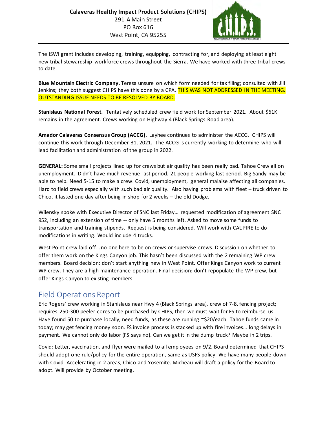

The ISWI grant includes developing, training, equipping, contracting for, and deploying at least eight new tribal stewardship workforce crews throughout the Sierra. We have worked with three tribal crews to date.

**Blue Mountain Electric Company.** Teresa unsure on which form needed for tax filing; consulted with Jill Jenkins; they both suggest CHIPS have this done by a CPA. THIS WAS NOT ADDRESSED IN THE MEETING. OUTSTANDING ISSUE NEEDS TO BE RESOLVED BY BOARD.

**Stanislaus National Forest.** Tentatively scheduled crew field work for September 2021. About \$61K remains in the agreement. Crews working on Highway 4 (Black Springs Road area).

**Amador Calaveras Consensus Group (ACCG).** Layhee continues to administer the ACCG. CHIPS will continue this work through December 31, 2021. The ACCG is currently working to determine who will lead facilitation and administration of the group in 2022.

**GENERAL:** Some small projects lined up for crews but air quality has been really bad. Tahoe Crew all on unemployment. Didn't have much revenue last period. 21 people working last period. Big Sandy may be able to help. Need 5-15 to make a crew. Covid, unemployment, general malaise affecting all companies. Hard to field crews especially with such bad air quality. Also having problems with fleet – truck driven to Chico, it lasted one day after being in shop for 2 weeks – the old Dodge.

Wilensky spoke with Executive Director of SNC last Friday… requested modification of agreement SNC 952, including an extension of time -- only have 5 months left. Asked to move some funds to transportation and training stipends. Request is being considered. Will work with CAL FIRE to do modifications in writing. Would include 4 trucks.

West Point crew laid off… no one here to be on crews or supervise crews. Discussion on whether to offer them work on the Kings Canyon job. This hasn't been discussed with the 2 remaining WP crew members. Board decision: don't start anything new in West Point. Offer Kings Canyon work to current WP crew. They are a high maintenance operation. Final decision: don't repopulate the WP crew, but offer Kings Canyon to existing members.

# Field Operations Report

Eric Rogers' crew working in Stanislaus near Hwy 4 (Black Springs area), crew of 7-8, fencing project; requires 250-300 peeler cores to be purchased by CHIPS, then we must wait for FS to reimburse us. Have found 50 to purchase locally, need funds, as these are running ~\$20/each. Tahoe funds came in today; may get fencing money soon. FS invoice process is stacked up with fire invoices… long delays in payment. We cannot only do labor (FS says no). Can we get it in the dump truck? Maybe in 2 trips.

Covid: Letter, vaccination, and flyer were mailed to all employees on 9/2. Board determined that CHIPS should adopt one rule/policy for the entire operation, same as USFS policy. We have many people down with Covid. Accelerating in 2 areas, Chico and Yosemite. Micheau will draft a policy for the Board to adopt. Will provide by October meeting.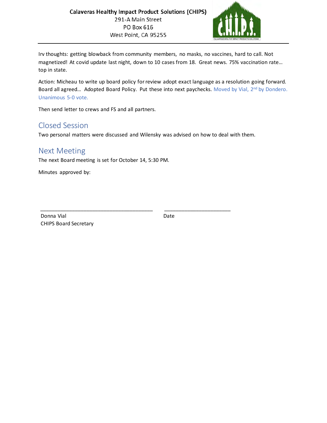

Irv thoughts: getting blowback from community members, no masks, no vaccines, hard to call. Not magnetized! At covid update last night, down to 10 cases from 18. Great news. 75% vaccination rate… top in state.

Action: Micheau to write up board policy for review adopt exact language as a resolution going forward. Board all agreed... Adopted Board Policy. Put these into next paychecks. Moved by Vial, 2<sup>nd</sup> by Dondero. Unanimous 5-0 vote.

Then send letter to crews and FS and all partners.

# Closed Session

Two personal matters were discussed and Wilensky was advised on how to deal with them.

\_\_\_\_\_\_\_\_\_\_\_\_\_\_\_\_\_\_\_\_\_\_\_\_\_\_\_\_\_\_\_\_\_\_\_\_\_\_\_ \_\_\_\_\_\_\_\_\_\_\_\_\_\_\_\_\_\_\_\_\_\_\_

## Next Meeting

The next Board meeting is set for October 14, 5:30 PM.

Minutes approved by:

Donna Vial **Date** CHIPS Board Secretary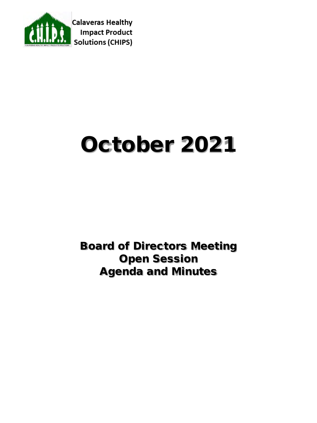

# October 2021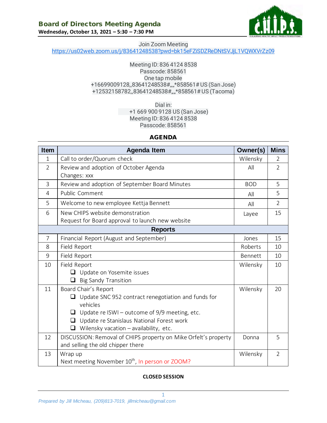

#### Join Zoom Meeting [https://us02web.zoom.us/j/83641248538?pwd=bk15eFZiSDZReDNtSVJjL1VQWXVrZz09](https://www.google.com/url?q=https://us02web.zoom.us/j/83641248538?pwd%3Dbk15eFZiSDZReDNtSVJjL1VQWXVrZz09&sa=D&source=calendar&usd=2&usg=AOvVaw39gXKsqIqUE0ynaBOBWJmW)

#### Meeting ID: 836 4124 8538 Passcode: 858561 One tap mobile +16699009128,,83641248538#,,,,\*858561# US (San Jose) +12532158782,,83641248538#,,,,\*858561# US (Tacoma)

Dial in: +1 669 900 9128 US (San Jose) Meeting ID: 836 4124 8538 Passcode: 858561

#### AGENDA

| <b>Item</b>    | <b>Agenda Item</b>                                                     | Owner(s)   | <b>Mins</b>    |
|----------------|------------------------------------------------------------------------|------------|----------------|
| $\mathbf{1}$   | Call to order/Quorum check                                             | Wilensky   | 2              |
| $\overline{2}$ | Review and adoption of October Agenda                                  | All        | $\overline{2}$ |
|                | Changes: xxx                                                           |            |                |
| 3              | Review and adoption of September Board Minutes                         | <b>BOD</b> | 5              |
| 4              | Public Comment                                                         | All        | 5              |
| 5              | Welcome to new employee Kettja Bennett                                 | All        | $\overline{2}$ |
| 6              | New CHIPS website demonstration                                        | Layee      | 15             |
|                | Request for Board approval to launch new website                       |            |                |
|                | <b>Reports</b>                                                         |            |                |
| $\overline{7}$ | Financial Report (August and September)                                | Jones      | 15             |
| 8              | Field Report                                                           | Roberts    | 10             |
| 9              | Field Report                                                           | Bennett    | 10             |
| 10             | Field Report                                                           | Wilensky   | 10             |
|                | $\Box$ Update on Yosemite issues                                       |            |                |
|                | <b>Big Sandy Transition</b>                                            |            |                |
| 11             | Board Chair's Report                                                   | Wilensky   | 20             |
|                | Update SNC 952 contract renegotiation and funds for<br>❏               |            |                |
|                | vehicles                                                               |            |                |
|                | Update re ISWI - outcome of 9/9 meeting, etc.                          |            |                |
|                | Update re Stanislaus National Forest work<br>$\Box$                    |            |                |
|                | Wilensky vacation - availability, etc.<br>$\Box$                       |            |                |
| 12             | DISCUSSION: Removal of CHIPS property on Mike Orfelt's property        | Donna      | 5              |
|                | and selling the old chipper there                                      |            |                |
| 13             | Wrap up<br>Next meeting November 10 <sup>th</sup> , In person or ZOOM? | Wilensky   | $\overline{2}$ |

#### **CLOSED SESSION**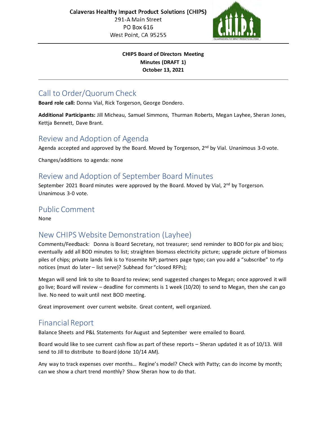

#### **CHIPS Board of Directors Meeting Minutes (DRAFT 1) October 13, 2021**

# Call to Order/Quorum Check

**Board role call:** Donna Vial, Rick Torgerson, George Dondero.

**Additional Participants:** Jill Micheau, Samuel Simmons, Thurman Roberts, Megan Layhee, Sheran Jones, Kettja Bennett, Dave Brant.

## Review and Adoption of Agenda

Agenda accepted and approved by the Board. Moved by Torgenson,  $2<sup>nd</sup>$  by Vial. Unanimous 3-0 vote.

Changes/additions to agenda: none

## Review and Adoption of September Board Minutes

September 2021 Board minutes were approved by the Board. Moved by Vial, 2<sup>nd</sup> by Torgerson. Unanimous 3-0 vote.

# Public Comment

None

# New CHIPS Website Demonstration (Layhee)

Comments/Feedback: Donna is Board Secretary, not treasurer; send reminder to BOD for pix and bios; eventually add all BOD minutes to list; straighten biomass electricity picture; upgrade picture of biomass piles of chips; private lands link is to Yosemite NP; partners page typo; can you add a "subscribe" to rfp notices (must do later – list serve)? Subhead for "closed RFPs);

Megan will send link to site to Board to review; send suggested changes to Megan; once approved it will go live; Board will review – deadline for comments is 1 week (10/20) to send to Megan, then she can go live. No need to wait until next BOD meeting.

Great improvement over current website. Great content, well organized.

# Financial Report

Balance Sheets and P&L Statements for August and September were emailed to Board.

Board would like to see current cash flow as part of these reports – Sheran updated it as of 10/13. Will send to Jill to distribute to Board (done 10/14 AM).

Any way to track expenses over months… Regine's model? Check with Patty; can do income by month; can we show a chart trend monthly? Show Sheran how to do that.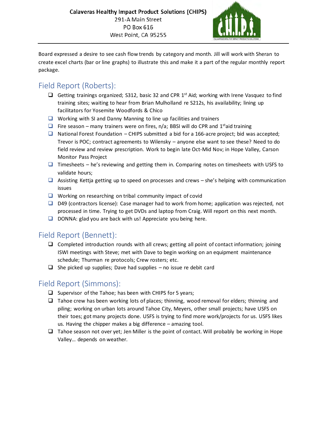

Board expressed a desire to see cash flow trends by category and month. Jill will work with Sheran to create excel charts (bar or line graphs) to illustrate this and make it a part of the regular monthly report package.

# Field Report (Roberts):

- Getting trainings organized; S312, basic 32 and CPR  $1<sup>st</sup>$  Aid; working with Irene Vasquez to find training sites; waiting to hear from Brian Mulholland re S212s, his availability; lining up facilitators for Yosemite Woodfords & Chico
- $\Box$  Working with SI and Danny Manning to line up facilities and trainers
- Fire season many trainers were on fires, n/a; BBSI will do CPR and 1<sup>st</sup>aid training
- $\Box$  National Forest Foundation CHIPS submitted a bid for a 166-acre project; bid was accepted; Trevor is POC; contract agreements to Wilensky – anyone else want to see these? Need to do field review and review prescription. Work to begin late Oct-Mid Nov; in Hope Valley, Carson Monitor Pass Project
- $\Box$  Timesheets he's reviewing and getting them in. Comparing notes on timesheets with USFS to validate hours;
- $\Box$  Assisting Kettia getting up to speed on processes and crews she's helping with communication issues
- $\Box$  Working on researching on tribal community impact of covid
- $\Box$  D49 (contractors license): Case manager had to work from home; application was rejected, not processed in time. Trying to get DVDs and laptop from Craig. Will report on this next month.
- $\Box$  DONNA: glad you are back with us! Appreciate you being here.

# Field Report (Bennett):

- $\Box$  Completed introduction rounds with all crews; getting all point of contact information; joining ISWI meetings with Steve; met with Dave to begin working on an equipment maintenance schedule; Thurman re protocols; Crew rosters; etc.
- $\Box$  She picked up supplies; Dave had supplies no issue re debit card

# Field Report (Simmons):

- $\Box$  Supervisor of the Tahoe; has been with CHIPS for 5 years;
- $\Box$  Tahoe crew has been working lots of places; thinning, wood removal for elders; thinning and piling; working on urban lots around Tahoe City, Meyers, other small projects; have USFS on their toes; got many projects done. USFS is trying to find more work/projects for us. USFS likes us. Having the chipper makes a big difference – amazing tool.
- $\Box$  Tahoe season not over yet; Jen Miller is the point of contact. Will probably be working in Hope Valley… depends on weather.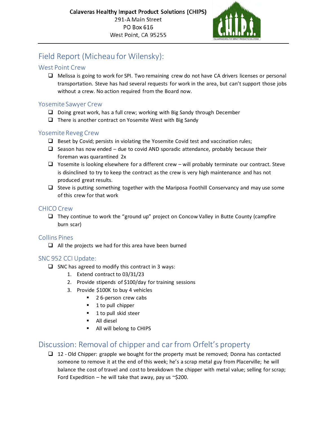

# Field Report (Micheau for Wilensky):

#### West Point Crew

 Melissa is going to work for SPI. Two remaining crew do not have CA drivers licenses or personal transportation. Steve has had several requests for work in the area, but can't support those jobs without a crew. No action required from the Board now.

#### Yosemite Sawyer Crew

- $\Box$  Doing great work, has a full crew; working with Big Sandy through December
- $\Box$  There is another contract on Yosemite West with Big Sandy

#### Yosemite Reveg Crew

- $\Box$  Beset by Covid; persists in violating the Yosemite Covid test and vaccination rules;
- $\Box$  Season has now ended due to covid AND sporadic attendance, probably because their foreman was quarantined 2x
- $\Box$  Yosemite is looking elsewhere for a different crew will probably terminate our contract. Steve is disinclined to try to keep the contract as the crew is very high maintenance and has not produced great results.
- $\Box$  Steve is putting something together with the Mariposa Foothill Conservancy and may use some of this crew for that work

#### CHICO Crew

 $\Box$  They continue to work the "ground up" project on Concow Valley in Butte County (campfire burn scar)

#### Collins Pines

 $\Box$  All the projects we had for this area have been burned

### SNC 952 CCI Update:

- $\Box$  SNC has agreed to modify this contract in 3 ways:
	- 1. Extend contract to 03/31/23
	- 2. Provide stipends of \$100/day for training sessions
	- 3. Provide \$100K to buy 4 vehicles
		- 2 6-person crew cabs
		- 1 to pull chipper
		- **1** to pull skid steer
		- **All diesel**
		- All will belong to CHIPS

# Discussion: Removal of chipper and car from Orfelt's property

 $\Box$  12 - Old Chipper: grapple we bought for the property must be removed; Donna has contacted someone to remove it at the end of this week; he's a scrap metal guy from Placerville; he will balance the cost of travel and cost to breakdown the chipper with metal value; selling for scrap; Ford Expedition – he will take that away, pay us  $\sim$ \$200.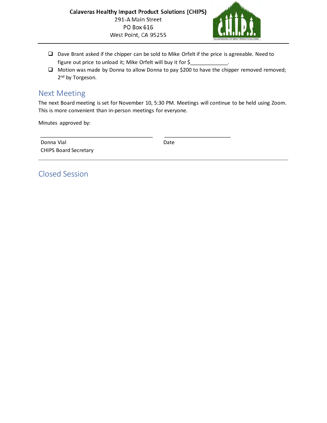

- Dave Brant asked if the chipper can be sold to Mike Orfelt if the price is agreeable. Need to figure out price to unload it; Mike Orfelt will buy it for \$
- Motion was made by Donna to allow Donna to pay \$200 to have the chipper removed removed; 2<sup>nd</sup> by Torgeson.

## Next Meeting

The next Board meeting is set for November 10, 5:30 PM. Meetings will continue to be held using Zoom. This is more convenient than in-person meetings for everyone.

Minutes approved by:

| Donna Vial                   | Date |
|------------------------------|------|
| <b>CHIPS Board Secretary</b> |      |

Closed Session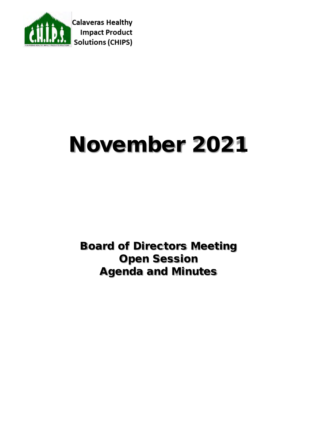

# November 2021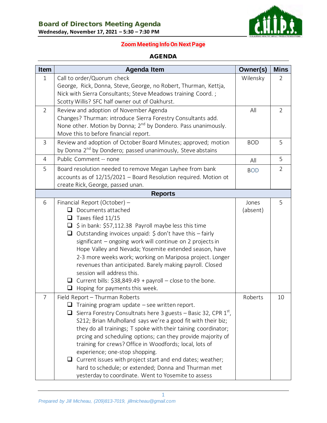

### **Zoom Meeting Info On Next Page**

#### AGENDA

| <b>Item</b>    | <b>Agenda Item</b>                                                                                                                                                                                                                                                                                                                                                                                                                                                                                                                                                                                                                    | Owner(s)          | <b>Mins</b>    |
|----------------|---------------------------------------------------------------------------------------------------------------------------------------------------------------------------------------------------------------------------------------------------------------------------------------------------------------------------------------------------------------------------------------------------------------------------------------------------------------------------------------------------------------------------------------------------------------------------------------------------------------------------------------|-------------------|----------------|
| $\mathbf{1}$   | Call to order/Quorum check<br>George, Rick, Donna, Steve, George, no Robert, Thurman, Kettja,<br>Nick with Sierra Consultants; Steve Meadows training Coord.;<br>Scotty Willis? SFC half owner out of Oakhurst.                                                                                                                                                                                                                                                                                                                                                                                                                       | Wilensky          | $\overline{2}$ |
| $\overline{2}$ | Review and adoption of November Agenda<br>Changes? Thurman: introduce Sierra Forestry Consultants add.<br>None other. Motion by Donna; 2 <sup>nd</sup> by Dondero. Pass unanimously.<br>Move this to before financial report.                                                                                                                                                                                                                                                                                                                                                                                                         | All               | 2              |
| 3              | Review and adoption of October Board Minutes; approved; motion<br>by Donna 2 <sup>nd</sup> by Dondero; passed unanimously, Steve abstains                                                                                                                                                                                                                                                                                                                                                                                                                                                                                             | <b>BOD</b>        | 5              |
| $\overline{4}$ | Public Comment -- none                                                                                                                                                                                                                                                                                                                                                                                                                                                                                                                                                                                                                | All               | 5              |
| 5              | Board resolution needed to remove Megan Layhee from bank<br>accounts as of 12/15/2021 - Board Resolution required. Motion ot<br>create Rick, George, passed unan.                                                                                                                                                                                                                                                                                                                                                                                                                                                                     | <b>BOD</b>        | $\overline{2}$ |
|                | <b>Reports</b>                                                                                                                                                                                                                                                                                                                                                                                                                                                                                                                                                                                                                        |                   |                |
| 6              | Financial Report (October) -<br>Documents attached<br>ப<br>$\Box$ Taxes filed 11/15<br>$\Box$ \$ in bank: \$57,112.38 Payroll maybe less this time<br>Outstanding invoices unpaid: \$ don't have this - fairly<br>$\Box$<br>significant - ongoing work will continue on 2 projects in<br>Hope Valley and Nevada; Yosemite extended season, have<br>2-3 more weeks work; working on Mariposa project. Longer<br>revenues than anticipated. Barely making payroll. Closed<br>session will address this.<br>$\Box$ Current bills: \$38,849.49 + payroll – close to the bone.<br>Hoping for payments this week.<br>⊔                      | Jones<br>(absent) | 5              |
| $\overline{7}$ | Field Report - Thurman Roberts<br>Training program update - see written report.<br>Sierra Forestry Consultnats here 3 guests – Basic 32, CPR $1st$ ,<br>S212; Brian Mulholland says we're a good fit with their biz;<br>they do all trainings; T spoke with their taining coordinator;<br>prcing and scheduling options; can they provide majority of<br>training for crews? Office in Woodfords; local, lots of<br>experience; one-stop shopping.<br>$\Box$ Current issues with project start and end dates; weather;<br>hard to schedule; or extended; Donna and Thurman met<br>yesterday to coordinate. Went to Yosemite to assess | Roberts           | 10             |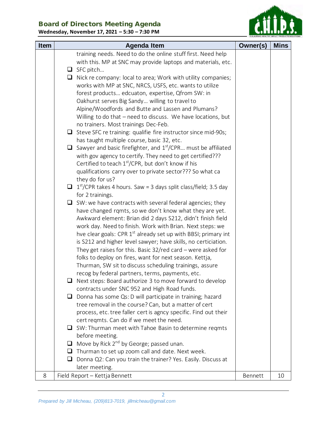

| <b>Item</b> | <b>Agenda Item</b>                                                                 | Owner(s) | <b>Mins</b> |
|-------------|------------------------------------------------------------------------------------|----------|-------------|
|             | training needs. Need to do the online stuff first. Need help                       |          |             |
|             | with this. MP at SNC may provide laptops and materials, etc.                       |          |             |
|             | $\Box$ SFC pitch                                                                   |          |             |
|             | $\Box$ Nick re company: local to area; Work with utility companies;                |          |             |
|             | works with MP at SNC, NRCS, USFS, etc. wants to utilize                            |          |             |
|             | forest products edcuaton, expertise, Qfrom SW: in                                  |          |             |
|             | Oakhurst serves Big Sandy willing to travel to                                     |          |             |
|             | Alpine/Woodfords and Butte and Lassen and Plumans?                                 |          |             |
|             | Willing to do that - need to discuss. We have locations, but                       |          |             |
|             | no trainers. Most trainings Dec-Feb.                                               |          |             |
|             | $\Box$ Steve SFC re training: qualifie fire instructor since mid-90s;              |          |             |
|             | has taught multiple course, basic 32, etc.                                         |          |             |
|             | $\Box$ Sawyer and basic firefighter, and 1 <sup>st</sup> /CPR must be affiliated   |          |             |
|             | with gov agency to certify. They need to get certified???                          |          |             |
|             | Certified to teach $1st/CPR$ , but don't know if his                               |          |             |
|             | qualifications carry over to private sector??? So what ca                          |          |             |
|             | they do for us?                                                                    |          |             |
|             | $\Box$ 1 <sup>st</sup> /CPR takes 4 hours. Saw = 3 days split class/field; 3.5 day |          |             |
|             | for 2 trainings.                                                                   |          |             |
|             | $\Box$ SW: we have contracts with several federal agencies; they                   |          |             |
|             | have changed rqmts, so we don't know what they are yet.                            |          |             |
|             | Awkward element: Brian did 2 days S212, didn't finish field                        |          |             |
|             | work day. Need to finish. Work with Brian. Next steps: we                          |          |             |
|             | hve clear goals: CPR 1 <sup>st</sup> already set up with BBSI; primary int         |          |             |
|             | is S212 and higher level sawyer; have skills, no certiciation.                     |          |             |
|             | They get raises for this. Basic $32$ /red card – were asked for                    |          |             |
|             | folks to deploy on fires, want for next season. Kettja,                            |          |             |
|             | Thurman, SW sit to discuss scheduling trainings, assure                            |          |             |
|             | recog by federal partners, terms, payments, etc.                                   |          |             |
|             | Next steps: Board authorize 3 to move forward to develop                           |          |             |
|             | contracts under SNC 952 and High Road funds.                                       |          |             |
|             | Donna has some Qs: D will participate in training; hazard<br>u.                    |          |             |
|             | tree removal in the course? Can, but a matter of cert                              |          |             |
|             | process, etc. tree faller cert is agncy specific. Find out their                   |          |             |
|             | cert reqmts. Can do if we meet the need.                                           |          |             |
|             | SW: Thurman meet with Tahoe Basin to determine reqmts                              |          |             |
|             | before meeting.                                                                    |          |             |
|             | Move by Rick 2 <sup>nd</sup> by George; passed unan.<br>⊔.                         |          |             |
|             | Thurman to set up zoom call and date. Next week.<br>Q.                             |          |             |
|             | Donna Q2: Can you train the trainer? Yes. Easily. Discuss at<br>ப                  |          |             |
|             | later meeting.                                                                     |          |             |
| 8           | Field Report - Kettja Bennett                                                      | Bennett  | 10          |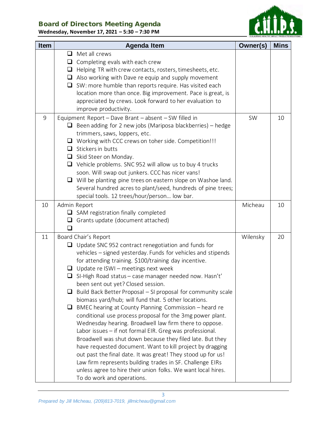# Board of Directors Meeting Agenda

**Wednesday, November 17, 2021 – 5:30 – 7:30 PM**



| <b>Item</b> | <b>Agenda Item</b>                                                                                                                                                                                                                                                                                                                                                                                                                                                                                                                                                                                                                                                                                                                                                                                                                                                                                                                                                                                                                                                                              | Owner(s) | <b>Mins</b> |
|-------------|-------------------------------------------------------------------------------------------------------------------------------------------------------------------------------------------------------------------------------------------------------------------------------------------------------------------------------------------------------------------------------------------------------------------------------------------------------------------------------------------------------------------------------------------------------------------------------------------------------------------------------------------------------------------------------------------------------------------------------------------------------------------------------------------------------------------------------------------------------------------------------------------------------------------------------------------------------------------------------------------------------------------------------------------------------------------------------------------------|----------|-------------|
|             | Met all crews<br>$\Box$<br>Completing evals with each crew<br>⊔<br>Helping TR with crew contacts, rosters, timesheets, etc.<br>❏<br>Also working with Dave re equip and supply movement<br>⊔<br>SW: more humble than reports require. Has visited each<br>$\Box$<br>location more than once. Big improvement. Pace is great, is<br>appreciated by crews. Look forward to her evaluation to<br>improve productivity.                                                                                                                                                                                                                                                                                                                                                                                                                                                                                                                                                                                                                                                                             |          |             |
| 9           | Equipment Report - Dave Brant - absent - SW filled in<br>Been adding for 2 new jobs (Mariposa blackberries) – hedge<br>trimmers, saws, loppers, etc.<br>Working with CCC crews on toher side. Competition!!!<br>⊔<br>Stickers in butts<br>$\Box$<br>Skid Steer on Monday.<br>$\Box$<br>$\Box$ Vehicle problems. SNC 952 will allow us to buy 4 trucks<br>soon. Will swap out junkers. CCC has nicer vans!<br>$\Box$ Will be planting pine trees on eastern slope on Washoe land.<br>Several hundred acres to plant/seed, hundreds of pine trees;<br>special tools. 12 trees/hour/person low bar.                                                                                                                                                                                                                                                                                                                                                                                                                                                                                                | SW       | 10          |
| 10          | Admin Report<br>$\Box$ SAM registration finally completed<br>Grants update (document attached)<br>u<br>П                                                                                                                                                                                                                                                                                                                                                                                                                                                                                                                                                                                                                                                                                                                                                                                                                                                                                                                                                                                        | Micheau  | 10          |
| 11          | Board Chair's Report<br>Update SNC 952 contract renegotiation and funds for<br>❏<br>vehicles - signed yesterday. Funds for vehicles and stipends<br>for attending training. \$100/training day incentive.<br>Update re ISWI - meetings next week<br>⊔<br>$\Box$ SI-High Road status – case manager needed now. Hasn't'<br>been sent out yet? Closed session.<br>Build Back Better Proposal – SI proposal for community scale<br>⊔<br>biomass yard/hub; will fund that. 5 other locations.<br>BMEC hearing at County Planning Commission – heard re<br>❏<br>conditional use process proposal for the 3mg power plant.<br>Wednesday hearing. Broadwell law firm there to oppose.<br>Labor issues - if not formal EIR. Greg was professional.<br>Broadwell was shut down because they filed late. But they<br>have requested document. Want to kill project by dragging<br>out past the final date. It was great! They stood up for us!<br>Law firm represents building trades in SF. Challenge EIRs<br>unless agree to hire their union folks. We want local hires.<br>To do work and operations. | Wilensky | 20          |

3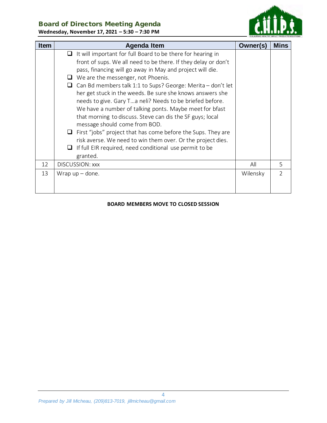

**Wednesday, November 17, 2021 – 5:30 – 7:30 PM**

| <b>Item</b> | <b>Agenda Item</b>                                                | Owner(s) | <b>Mins</b>    |
|-------------|-------------------------------------------------------------------|----------|----------------|
|             | It will important for full Board to be there for hearing in<br>ப  |          |                |
|             | front of sups. We all need to be there. If they delay or don't    |          |                |
|             | pass, financing will go away in May and project will die.         |          |                |
|             | We are the messenger, not Phoenis.<br>$\Box$                      |          |                |
|             | Can Bd members talk 1:1 to Sups? George: Merita - don't let<br>Q. |          |                |
|             | her get stuck in the weeds. Be sure she knows answers she         |          |                |
|             | needs to give. Gary Ta neli? Needs to be briefed before.          |          |                |
|             | We have a number of talking ponts. Maybe meet for bfast           |          |                |
|             | that morning to discuss. Steve can dis the SF guys; local         |          |                |
|             | message should come from BOD.                                     |          |                |
|             | First "jobs" project that has come before the Sups. They are<br>⊔ |          |                |
|             | risk averse. We need to win them over. Or the project dies.       |          |                |
|             | If full EIR required, need conditional use permit to be<br>⊔      |          |                |
|             | granted.                                                          |          |                |
| 12          | DISCUSSION: XXX                                                   | All      | 5.             |
| 13          | Wrap $up$ – done.                                                 | Wilensky | $\overline{2}$ |
|             |                                                                   |          |                |
|             |                                                                   |          |                |

#### **BOARD MEMBERS MOVE TO CLOSED SESSION**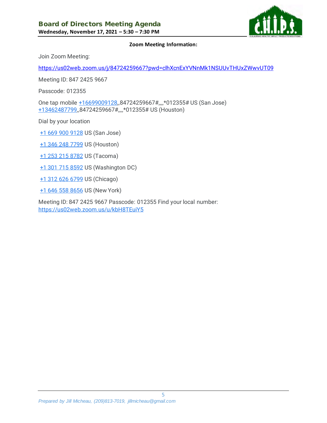

#### **Zoom Meeting Information:**

Join Zoom Meeting:

<https://us02web.zoom.us/j/84724259667?pwd=clhXcnExYVNnMk1NSUUvTHUxZWwvUT09>

Meeting ID: 847 2425 9667

Passcode: 012355

One tap mobile [+16699009128,](tel:+16699009128),84724259667#,,,,\*012355# US (San Jose) [+13462487799,,](tel:+13462487799)84724259667#,,,,\*012355# US (Houston)

Dial by your location

- [+1 669 900 9128](tel:+1%20669%20900%209128) US (San Jose)
- [+1 346 248 7799](tel:+1%20346%20248%207799) US (Houston)
- [+1 253 215 8782](tel:+1%20253%20215%208782) US (Tacoma)
- [+1 301 715 8592](tel:+1%20301%20715%208592) US (Washington DC)
- [+1 312 626 6799](tel:+1%20312%20626%206799) US (Chicago)
- [+1 646 558 8656](tel:+1%20646%20558%208656) US (New York)

Meeting ID: 847 2425 9667 Passcode: 012355 Find your local number: <https://us02web.zoom.us/u/kbH8TEuiY5>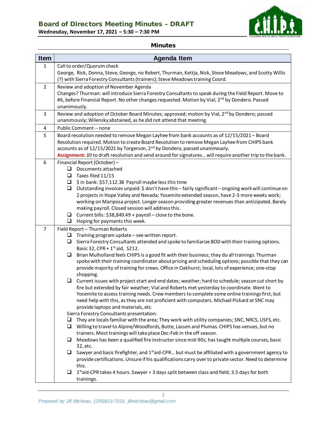# Board of Directors Meeting Minutes – DRAFT

**Wednesday, November 17, 2021 – 5:30 – 7:30 PM**



#### Minutes

| <b>Item</b>    | <b>Agenda Item</b>                                                                                                                                                                                        |  |  |  |
|----------------|-----------------------------------------------------------------------------------------------------------------------------------------------------------------------------------------------------------|--|--|--|
| $\mathbf{1}$   | Call to order/Quorum check                                                                                                                                                                                |  |  |  |
|                | George, Rick, Donna, Steve, George, no Robert, Thurman, Kettja, Nick, Steve Meadows, and Scotty Willis                                                                                                    |  |  |  |
|                | (?) with Sierra Forestry Consultants (trainers); Steve Meadows training Coord.                                                                                                                            |  |  |  |
| $\overline{2}$ | Review and adoption of November Agenda                                                                                                                                                                    |  |  |  |
|                | Changes? Thurman: will introduce Sierra Forestry Consultants to speak during the Field Report. Move to                                                                                                    |  |  |  |
|                | #6, before Financial Report. No other changes requested. Motion by Vial; 2 <sup>nd</sup> by Dondero. Passed                                                                                               |  |  |  |
|                | unanimously.                                                                                                                                                                                              |  |  |  |
| 3              | Review and adoption of October Board Minutes; approved; motion by Vial, 2 <sup>nd</sup> by Dondero; passed<br>unanimously; Wilensky abstained, as he did not attend that meeting.                         |  |  |  |
| 4              | Public Comment -- none                                                                                                                                                                                    |  |  |  |
| 5              | Board resolution needed to remove Megan Layhee from bank accounts as of 12/15/2021 - Board                                                                                                                |  |  |  |
|                | Resolution required. Motion to create Board Resolution to remove Megan Layhee from CHIPS bank                                                                                                             |  |  |  |
|                | accounts as of 12/15/2021 by Torgerson, 2 <sup>nd</sup> by Dondero, passed unanimously.                                                                                                                   |  |  |  |
|                | Assignment: Jill to draft resolution and send around for signatures will require another trip to the bank.                                                                                                |  |  |  |
| 6              | Financial Report (October) -                                                                                                                                                                              |  |  |  |
|                | ❏<br>Documents attached                                                                                                                                                                                   |  |  |  |
|                | Taxes filed 11/15<br>$\Box$                                                                                                                                                                               |  |  |  |
|                | \$ in bank: \$57,112.38 Payroll maybe less this time<br>$\Box$<br>❏                                                                                                                                       |  |  |  |
|                | Outstanding invoices unpaid: \$ don't have this - fairly significant - ongoing work will continue on<br>2 projects in Hope Valley and Nevada; Yosemite extended season, have 2-3 more weeks work;         |  |  |  |
|                | working on Mariposa project. Longer season providing greater revenues than anticipated. Barely                                                                                                            |  |  |  |
|                | making payroll. Closed session will address this.                                                                                                                                                         |  |  |  |
|                | Current bills: \$38,849.49 + payroll - close to the bone.<br>❏                                                                                                                                            |  |  |  |
|                | Hoping for payments this week.<br>❏                                                                                                                                                                       |  |  |  |
| $\overline{7}$ | Field Report - Thurman Roberts                                                                                                                                                                            |  |  |  |
|                | Training program update - see written report.<br>❏                                                                                                                                                        |  |  |  |
|                | Sierra Forestry Consultants attended and spoke to familiarize BOD with their training options.<br>❏                                                                                                       |  |  |  |
|                | Basic 32, CPR + $1st$ aid, S212.                                                                                                                                                                          |  |  |  |
|                | Brian Mulholland feels CHIPS is a good fit with their business; they do all trainings. Thurman<br>□<br>spoke with their training coordinator about pricing and scheduling options; possible that they can |  |  |  |
|                | provide majority of training for crews. Office in Oakhurst; local, lots of experience; one-stop                                                                                                           |  |  |  |
|                | shopping.                                                                                                                                                                                                 |  |  |  |
|                | $\Box$<br>Current issues with project start and end dates; weather; hard to schedule; season cut short by                                                                                                 |  |  |  |
|                | fire but extended by fair weather; Vial and Roberts met yesterday to coordinate. Went to                                                                                                                  |  |  |  |
|                | Yosemite to assess training needs. Crew members to complete some online trainings first, but                                                                                                              |  |  |  |
|                | need help with this, as they are not proficient with computers. Michael Pickard at SNC may                                                                                                                |  |  |  |
|                | provide laptops and materials, etc.                                                                                                                                                                       |  |  |  |
|                | Sierra Forestry Consultants presentation:<br>They are locals familiar with the area; They work with utility companies; SNC, NRCS, USFS, etc.<br>⊔                                                         |  |  |  |
|                | Willing to travel to Alpine/Woodfords, Butte, Lassen and Plumas. CHIPS has venues, but no<br>$\Box$                                                                                                       |  |  |  |
|                | trainers. Most trainings will take place Dec-Feb in the off season.                                                                                                                                       |  |  |  |
|                | Meadows has been a qualified fire instructor since mid-90s; has taught multiple courses, basic<br>⊔                                                                                                       |  |  |  |
|                | 32, etc.                                                                                                                                                                                                  |  |  |  |
|                | Sawyer and basic firefighter, and 1 <sup>st</sup> aid-CPR but must be affiliated with a government agency to<br>u                                                                                         |  |  |  |
|                | provide certifications. Unsure if his qualifications carry over to private sector. Need to determine                                                                                                      |  |  |  |
|                | this.                                                                                                                                                                                                     |  |  |  |
|                | $1st$ aid-CPR takes 4 hours. Sawyer = 3 days split between class and field; 3.5 days for both<br>⊔                                                                                                        |  |  |  |
|                | trainings.                                                                                                                                                                                                |  |  |  |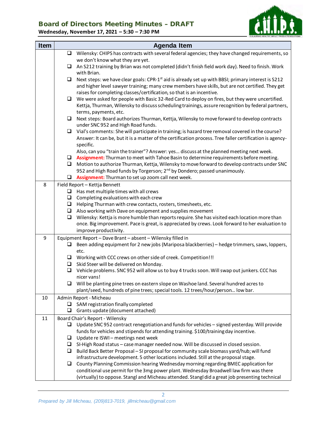## Board of Directors Meeting Minutes – DRAFT

**Wednesday, November 17, 2021 – 5:30 – 7:30 PM**



| <b>Item</b> |        | <b>Agenda Item</b>                                                                                                                                                                                                                                                                          |
|-------------|--------|---------------------------------------------------------------------------------------------------------------------------------------------------------------------------------------------------------------------------------------------------------------------------------------------|
|             |        | $\Box$ Wilensky: CHIPS has contracts with several federal agencies; they have changed requirements, so                                                                                                                                                                                      |
|             |        | we don't know what they are yet.                                                                                                                                                                                                                                                            |
|             | ⊔      | An S212 training by Brian was not completed (didn't finish field work day). Need to finish. Work<br>with Brian.                                                                                                                                                                             |
|             | $\Box$ | Next steps: we have clear goals: CPR-1 <sup>st</sup> aid is already set up with BBSI; primary interest is S212<br>and higher level sawyer training; many crew members have skills, but are not certified. They get<br>raises for completing classes/certification, so that is an incentive. |
|             | $\Box$ | We were asked for people with Basic 32-Red Card to deploy on fires, but they were uncertified.<br>Kettja, Thurman, Wilensky to discuss scheduling trainings, assure recognition by federal partners,                                                                                        |
|             | $\Box$ | terms, payments, etc.<br>Next steps: Board authorizes Thurman, Kettja, Wilensky to move forward to develop contracts<br>under SNC 952 and High Road funds.                                                                                                                                  |
|             |        | $\Box$ Vial's comments: She will participate in training; is hazard tree removal covered in the course?                                                                                                                                                                                     |
|             |        | Answer: It can be, but it is a matter of the certification process. Tree faller certification is agency-<br>specific.                                                                                                                                                                       |
|             |        | Also, can you "train the trainer"? Answer: yes discuss at the planned meeting next week.                                                                                                                                                                                                    |
|             | u.     | □ Assignment: Thurman to meet with Tahoe Basin to determine requirements before meeting.<br>Motion to authorize Thurman, Kettja, Wilensky to move forward to develop contracts under SNC                                                                                                    |
|             |        | 952 and High Road funds by Torgerson; 2 <sup>nd</sup> by Dondero; passed unanimously.<br>$\Box$ Assignment: Thurman to set up zoom call next week.                                                                                                                                          |
| 8           |        | Field Report - Kettja Bennett                                                                                                                                                                                                                                                               |
|             |        | $\Box$ Has met multiple times with all crews                                                                                                                                                                                                                                                |
|             |        | $\Box$ Completing evaluations with each crew                                                                                                                                                                                                                                                |
|             | $\Box$ | Helping Thurman with crew contacts, rosters, timesheets, etc.                                                                                                                                                                                                                               |
|             |        | $\Box$ Also working with Dave on equipment and supplies movement                                                                                                                                                                                                                            |
|             | $\Box$ | Wilensky: Kettja is more humble than reports require. She has visited each location more than                                                                                                                                                                                               |
|             |        | once. Big improvement. Pace is great, is appreciated by crews. Look forward to her evaluation to                                                                                                                                                                                            |
|             |        | improve productivity.                                                                                                                                                                                                                                                                       |
| 9           |        | Equipment Report - Dave Brant - absent - Wilensky filled in                                                                                                                                                                                                                                 |
|             | ❏      | Been adding equipment for 2 new jobs (Mariposa blackberries) - hedge trimmers, saws, loppers,<br>etc.                                                                                                                                                                                       |
|             |        | $\Box$ Working with CCC crews on other side of creek. Competition!!!                                                                                                                                                                                                                        |
|             | $\Box$ | Skid Steer will be delivered on Monday.                                                                                                                                                                                                                                                     |
|             | $\Box$ | Vehicle problems. SNC 952 will allow us to buy 4 trucks soon. Will swap out junkers. CCC has<br>nicer vans!                                                                                                                                                                                 |
|             |        | $\Box$ Will be planting pine trees on eastern slope on Washoe land. Several hundred acres to<br>plant/seed, hundreds of pine trees; special tools. 12 trees/hour/person low bar.                                                                                                            |
| 10          |        | Admin Report - Micheau                                                                                                                                                                                                                                                                      |
|             |        | SAM registration finally completed                                                                                                                                                                                                                                                          |
|             | ⊔      | Grants update (document attached)                                                                                                                                                                                                                                                           |
| 11          |        | Board Chair's Report - Wilensky                                                                                                                                                                                                                                                             |
|             | ⊔      | Update SNC 952 contract renegotiation and funds for vehicles - signed yesterday. Will provide                                                                                                                                                                                               |
|             |        | funds for vehicles and stipends for attending training. \$100/training day incentive.                                                                                                                                                                                                       |
|             | □      | Update re ISWI - meetings next week                                                                                                                                                                                                                                                         |
|             | $\Box$ | SI-High Road status - case manager needed now. Will be discussed in closed session.                                                                                                                                                                                                         |
|             | O.     | Build Back Better Proposal - SI proposal for community scale biomass yard/hub; will fund                                                                                                                                                                                                    |
|             | u      | infrastructure development. 5 other locations included. Still at the proposal stage.                                                                                                                                                                                                        |
|             |        | County Planning Commission hearing Wednesday morning regarding BMEC application for<br>conditional use permit for the 3mg power plant. Wednesday Broadwell law firm was there                                                                                                               |
|             |        | (virtually) to oppose. Stangl and Micheau attended. Stangl did a great job presenting technical                                                                                                                                                                                             |

2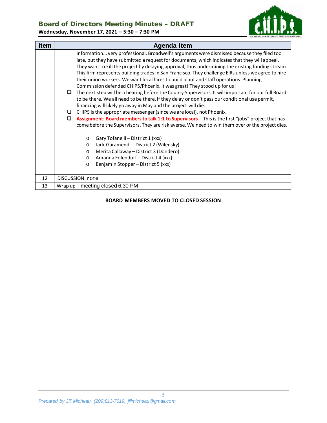## Board of Directors Meeting Minutes – DRAFT

**Wednesday, November 17, 2021 – 5:30 – 7:30 PM**



| <b>Item</b> | <b>Agenda Item</b>                                                                                                                                                                                                                                                                                                                                                                                                                                                                                                                                                                                                                                                                                                                                                                                                                                                                                                                                                                                                                                                                                                                                                                                                                                                                                                                                                                                                           |  |  |  |
|-------------|------------------------------------------------------------------------------------------------------------------------------------------------------------------------------------------------------------------------------------------------------------------------------------------------------------------------------------------------------------------------------------------------------------------------------------------------------------------------------------------------------------------------------------------------------------------------------------------------------------------------------------------------------------------------------------------------------------------------------------------------------------------------------------------------------------------------------------------------------------------------------------------------------------------------------------------------------------------------------------------------------------------------------------------------------------------------------------------------------------------------------------------------------------------------------------------------------------------------------------------------------------------------------------------------------------------------------------------------------------------------------------------------------------------------------|--|--|--|
|             | information very professional. Broadwell's arguments were dismissed because they filed too<br>late, but they have submitted a request for documents, which indicates that they will appeal.<br>They want to kill the project by delaying approval, thus undermining the existing funding stream.<br>This firm represents building trades in San Francisco. They challenge EIRs unless we agree to hire<br>their union workers. We want local hires to build plant and staff operations. Planning<br>Commission defended CHIPS/Phoenix. It was great! They stood up for us!<br>$\Box$ The next step will be a hearing before the County Supervisors. It will important for our full Board<br>to be there. We all need to be there. If they delay or don't pass our conditional use permit,<br>financing will likely go away in May and the project will die.<br>CHIPS is the appropriate messenger (since we are local), not Phoenix.<br>$\sqcup$<br>Assignment: Board members to talk 1:1 to Supervisors -- This is the first "jobs" project that has<br>◻<br>come before the Supervisors. They are risk averse. We need to win them over or the project dies.<br>Gary Tofanelli - District 1 (xxx)<br>$\circ$<br>Jack Garamendi - District 2 (Wilensky)<br>$\circ$<br>Merita Callaway - District 3 (Dondero)<br>$\circ$<br>Amanda Folendorf - District 4 (xxx)<br>$\circ$<br>Benjamin Stopper - District 5 (xxx)<br>$\circ$ |  |  |  |
| 12          | DISCUSSION: none                                                                                                                                                                                                                                                                                                                                                                                                                                                                                                                                                                                                                                                                                                                                                                                                                                                                                                                                                                                                                                                                                                                                                                                                                                                                                                                                                                                                             |  |  |  |
| 13          | Wrap $up$ – meeting closed 6:30 PM                                                                                                                                                                                                                                                                                                                                                                                                                                                                                                                                                                                                                                                                                                                                                                                                                                                                                                                                                                                                                                                                                                                                                                                                                                                                                                                                                                                           |  |  |  |

#### **BOARD MEMBERS MOVED TO CLOSED SESSION**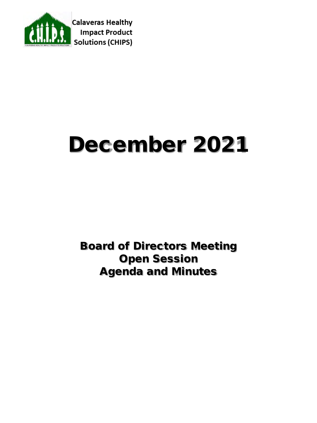

# December 2021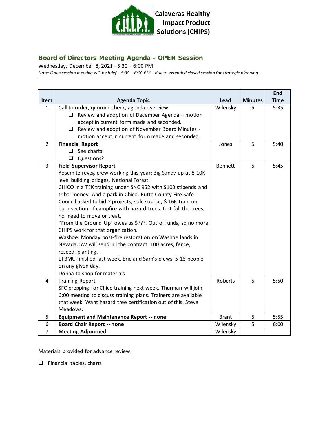

#### Board of Directors Meeting Agenda – OPEN Session

Wednesday, December 8, 2021 –5:30 – 6:00 PM

*Note: Open session meeting will be brief – 5:30 – 6:00 PM – due to extended closed session for strategic planning*

|                |                                                                  |                |                | End         |
|----------------|------------------------------------------------------------------|----------------|----------------|-------------|
| <b>Item</b>    | <b>Agenda Topic</b>                                              | Lead           | <b>Minutes</b> | <b>Time</b> |
| $\mathbf{1}$   | Call to order, quorum check, agenda overview                     | Wilensky       | 5              | 5:35        |
|                | Review and adoption of December Agenda - motion<br>$\Box$        |                |                |             |
|                | accept in current form made and seconded.                        |                |                |             |
|                | $\Box$ Review and adoption of November Board Minutes -           |                |                |             |
|                | motion accept in current form made and seconded.                 |                |                |             |
| $\overline{2}$ | <b>Financial Report</b>                                          | Jones          | 5              | 5:40        |
|                | See charts<br>$\Box$                                             |                |                |             |
|                | Questions?                                                       |                |                |             |
| $\overline{3}$ | <b>Field Supervisor Report</b>                                   | <b>Bennett</b> | 5              | 5:45        |
|                | Yosemite reveg crew working this year; Big Sandy up at 8-10K     |                |                |             |
|                | level building bridges. National Forest.                         |                |                |             |
|                | CHICO in a TEK training under SNC 952 with \$100 stipends and    |                |                |             |
|                | tribal money. And a park in Chico. Butte County Fire Safe        |                |                |             |
|                | Council asked to bid 2 projects, sole source, \$16K train on     |                |                |             |
|                | burn section of campfire with hazard trees. Just fall the trees, |                |                |             |
|                | no need to move or treat.                                        |                |                |             |
|                | "From the Ground Up" owes us \$???. Out of funds, so no more     |                |                |             |
|                | CHIPS work for that organization.                                |                |                |             |
|                | Washoe: Monday post-fire restoration on Washoe lands in          |                |                |             |
|                | Nevada. SW will send Jill the contract. 100 acres, fence,        |                |                |             |
|                | reseed, planting.                                                |                |                |             |
|                | LTBMU finished last week. Eric and Sam's crews, 5-15 people      |                |                |             |
|                | on any given day.                                                |                |                |             |
|                | Donna to shop for materials                                      |                |                |             |
| 4              | <b>Training Report</b>                                           | Roberts        | 5              | 5:50        |
|                | SFC prepping for Chico training next week. Thurman will join     |                |                |             |
|                | 6:00 meeting to discuss training plans. Trainers are available   |                |                |             |
|                | that week. Want hazard tree certification out of this. Steve     |                |                |             |
|                | Meadows.                                                         |                |                |             |
| 5              | <b>Equipment and Maintenance Report -- none</b>                  | <b>Brant</b>   | 5              | 5:55        |
| 6              | <b>Board Chair Report -- none</b>                                | Wilensky       | 5              | 6:00        |
| 7              | <b>Meeting Adjourned</b>                                         | Wilensky       |                |             |

Materials provided for advance review:

 $\Box$  Financial tables, charts